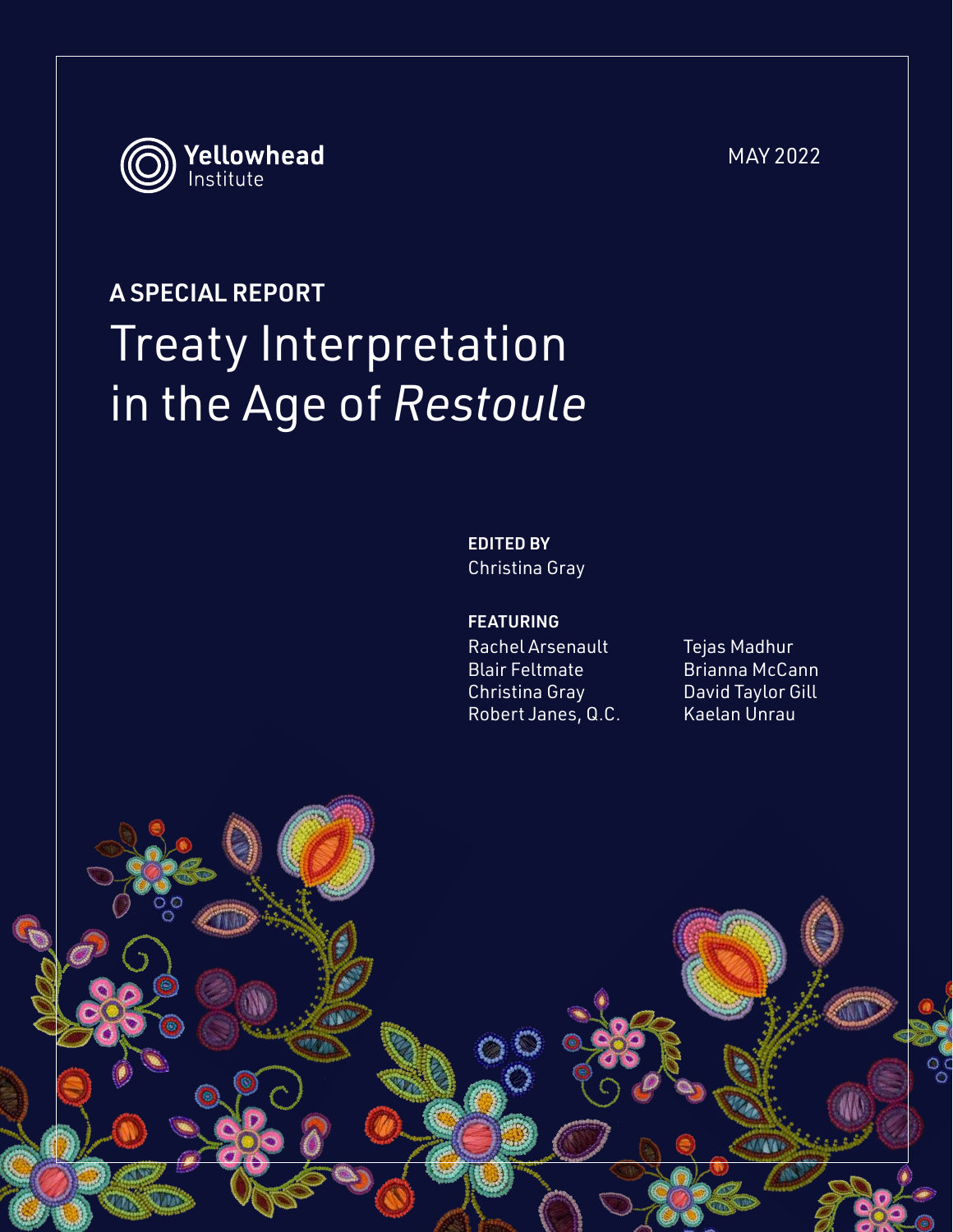

# A SPECIAL REPORT Treaty Interpretation in the Age of *Restoule*

EDITED BY Christina Gray

#### FEATURING

A Yellowhead Institute Special Report 1

Rachel Arsenault Blair Feltmate Christina Gray Robert Janes, Q.C. Tejas Madhur Brianna McCann David Taylor Gill Kaelan Unrau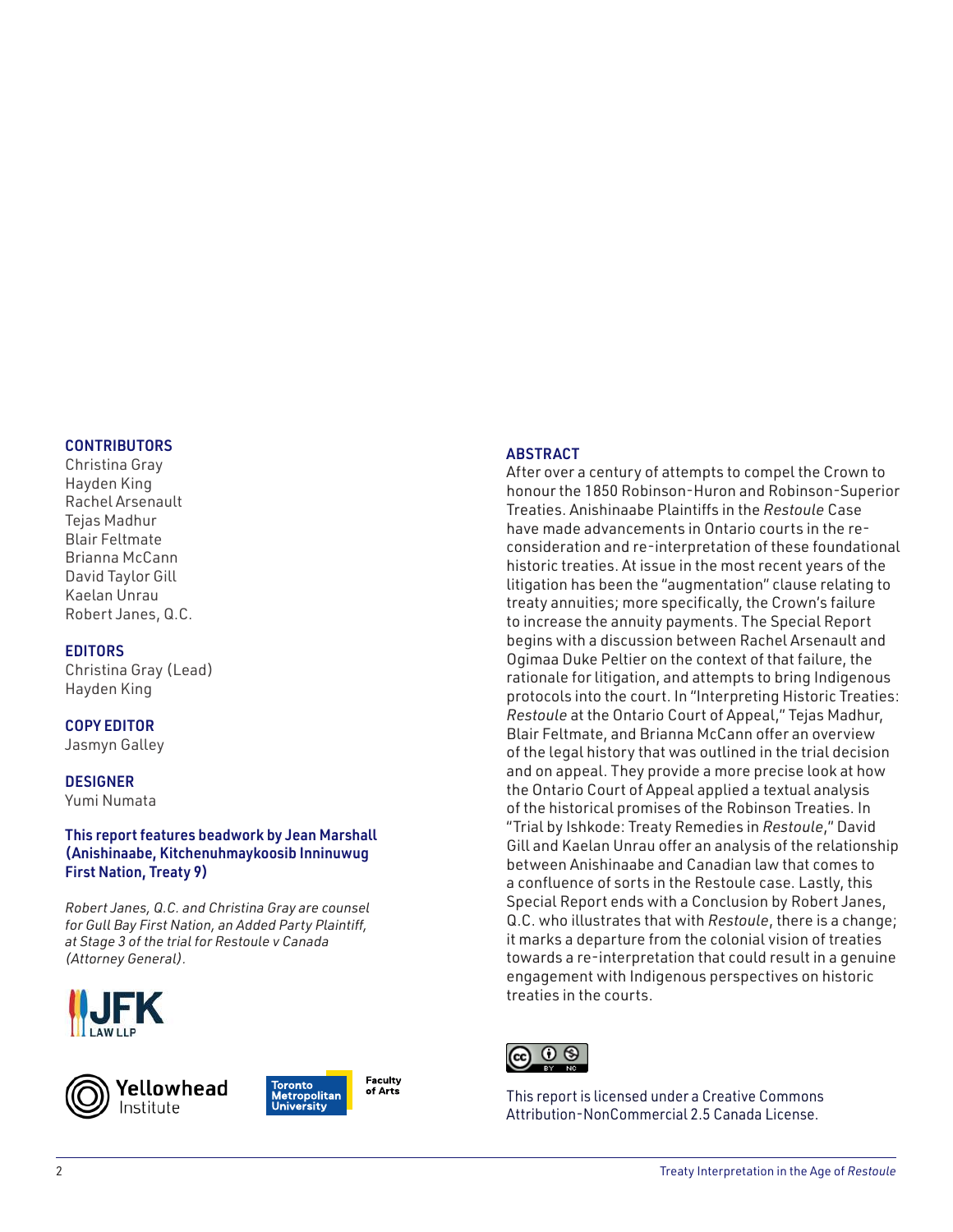#### **CONTRIBUTORS**

Christina Gray Hayden King Rachel Arsenault Tejas Madhur Blair Feltmate Brianna McCann David Taylor Gill Kaelan Unrau Robert Janes, Q.C.

#### EDITORS

Christina Gray (Lead) Hayden King

### COPY EDITOR

Jasmyn Galley

#### **DESIGNER**

Yumi Numata

#### This report features beadwork by Jean Marshall (Anishinaabe, Kitchenuhmaykoosib Inninuwug First Nation, Treaty 9)

*Robert Janes, Q.C. and Christina Gray are counsel for Gull Bay First Nation, an Added Party Plaintiff, at Stage 3 of the trial for Restoule v Canada (Attorney General).*







Faculty of Arts

#### ABSTRACT

After over a century of attempts to compel the Crown to honour the 1850 Robinson-Huron and Robinson-Superior Treaties. Anishinaabe Plaintiffs in the *Restoule* Case have made advancements in Ontario courts in the reconsideration and re-interpretation of these foundational historic treaties. At issue in the most recent years of the litigation has been the "augmentation" clause relating to treaty annuities; more specifically, the Crown's failure to increase the annuity payments. The Special Report begins with a discussion between Rachel Arsenault and Ogimaa Duke Peltier on the context of that failure, the rationale for litigation, and attempts to bring Indigenous protocols into the court. In "Interpreting Historic Treaties: *Restoule* at the Ontario Court of Appeal," Tejas Madhur, Blair Feltmate, and Brianna McCann offer an overview of the legal history that was outlined in the trial decision and on appeal. They provide a more precise look at how the Ontario Court of Appeal applied a textual analysis of the historical promises of the Robinson Treaties. In "Trial by Ishkode: Treaty Remedies in *Restoule*," David Gill and Kaelan Unrau offer an analysis of the relationship between Anishinaabe and Canadian law that comes to a confluence of sorts in the Restoule case. Lastly, this Special Report ends with a Conclusion by Robert Janes, Q.C. who illustrates that with *Restoule*, there is a change; it marks a departure from the colonial vision of treaties towards a re-interpretation that could result in a genuine engagement with Indigenous perspectives on historic treaties in the courts.



This report is licensed under a Creative Commons Attribution-NonCommercial 2.5 Canada License.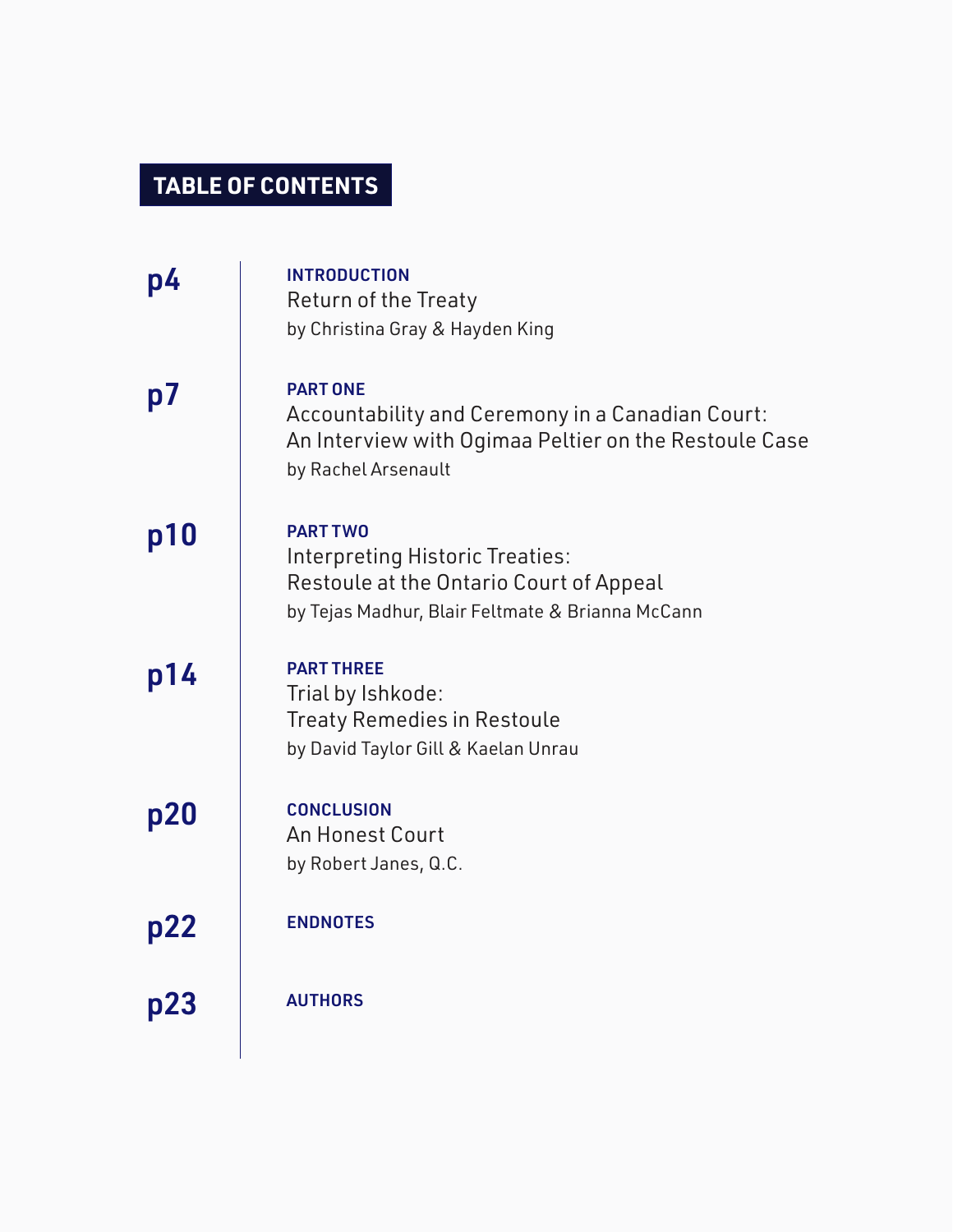## **TABLE OF CONTENTS**

| p4  | <b>INTRODUCTION</b><br><b>Return of the Treaty</b><br>by Christina Gray & Hayden King                                                               |
|-----|-----------------------------------------------------------------------------------------------------------------------------------------------------|
| p7  | <b>PART ONE</b><br>Accountability and Ceremony in a Canadian Court:<br>An Interview with Ogimaa Peltier on the Restoule Case<br>by Rachel Arsenault |
| p10 | <b>PART TWO</b><br>Interpreting Historic Treaties:<br>Restoule at the Ontario Court of Appeal<br>by Tejas Madhur, Blair Feltmate & Brianna McCann   |
| p14 | <b>PART THREE</b><br>Trial by Ishkode:<br><b>Treaty Remedies in Restoule</b><br>by David Taylor Gill & Kaelan Unrau                                 |
| p20 | <b>CONCLUSION</b><br><b>An Honest Court</b><br>by Robert Janes, Q.C.                                                                                |
| p22 | <b>ENDNOTES</b>                                                                                                                                     |
| p23 | <b>AUTHORS</b>                                                                                                                                      |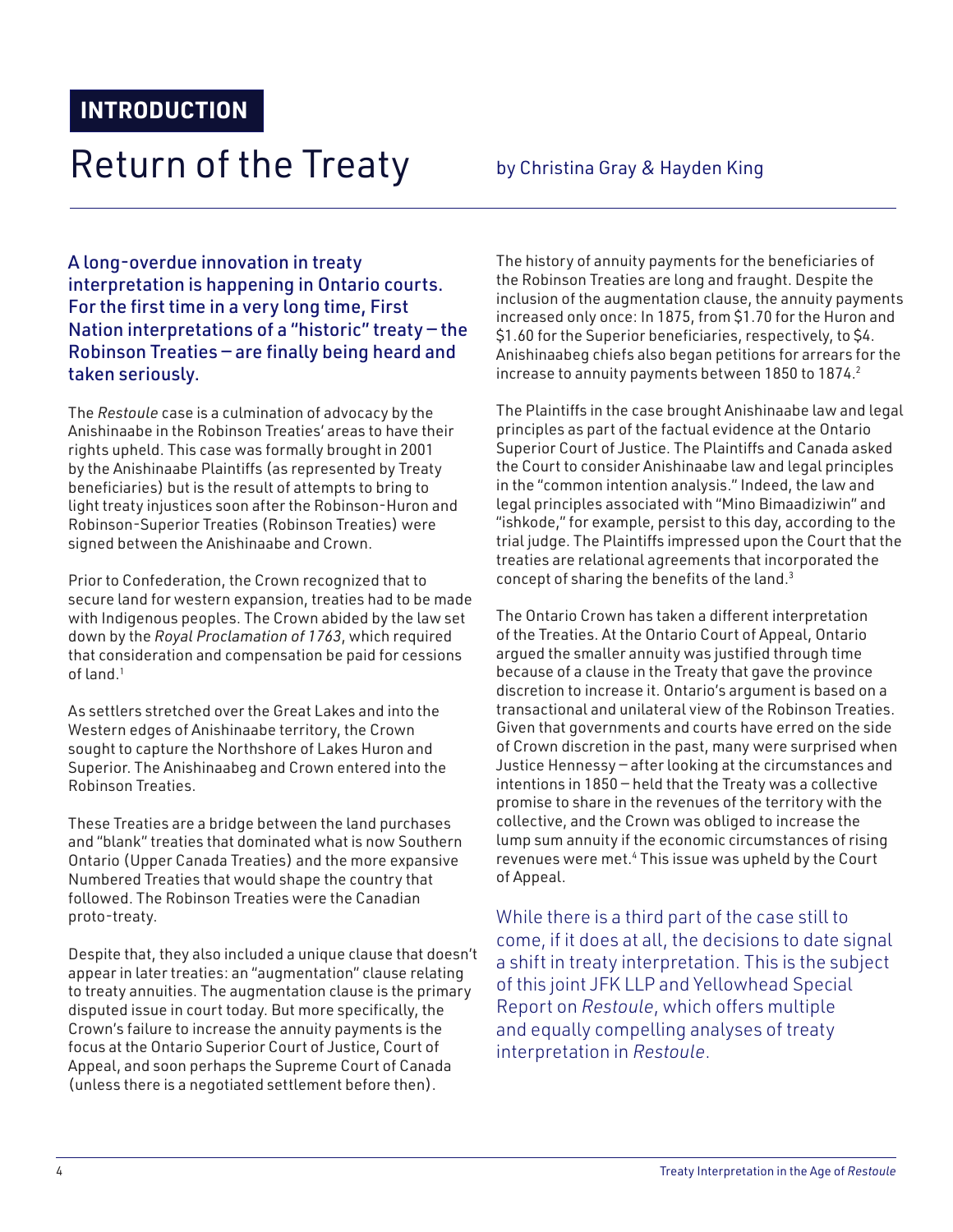## Return of the Treaty by Christina Gray & Hayden King

A long-overdue innovation in treaty interpretation is happening in Ontario courts. For the first time in a very long time, First Nation interpretations of a "historic" treaty — the Robinson Treaties — are finally being heard and taken seriously.

The *Restoule* case is a culmination of advocacy by the Anishinaabe in the Robinson Treaties' areas to have their rights upheld. This case was formally brought in 2001 by the Anishinaabe Plaintiffs (as represented by Treaty beneficiaries) but is the result of attempts to bring to light treaty injustices soon after the Robinson-Huron and Robinson-Superior Treaties (Robinson Treaties) were signed between the Anishinaabe and Crown.

Prior to Confederation, the Crown recognized that to secure land for western expansion, treaties had to be made with Indigenous peoples. The Crown abided by the law set down by the *Royal Proclamation of 1763*, which required that consideration and compensation be paid for cessions of land.<sup>1</sup>

As settlers stretched over the Great Lakes and into the Western edges of Anishinaabe territory, the Crown sought to capture the Northshore of Lakes Huron and Superior. The Anishinaabeg and Crown entered into the Robinson Treaties.

These Treaties are a bridge between the land purchases and "blank" treaties that dominated what is now Southern Ontario (Upper Canada Treaties) and the more expansive Numbered Treaties that would shape the country that followed. The Robinson Treaties were the Canadian proto-treaty.

Despite that, they also included a unique clause that doesn't appear in later treaties: an "augmentation" clause relating to treaty annuities. The augmentation clause is the primary disputed issue in court today. But more specifically, the Crown's failure to increase the annuity payments is the focus at the Ontario Superior Court of Justice, Court of Appeal, and soon perhaps the Supreme Court of Canada (unless there is a negotiated settlement before then).

The history of annuity payments for the beneficiaries of the Robinson Treaties are long and fraught. Despite the inclusion of the augmentation clause, the annuity payments increased only once: In 1875, from \$1.70 for the Huron and \$1.60 for the Superior beneficiaries, respectively, to \$4. Anishinaabeg chiefs also began petitions for arrears for the increase to annuity payments between 1850 to 1874.<sup>2</sup>

The Plaintiffs in the case brought Anishinaabe law and legal principles as part of the factual evidence at the Ontario Superior Court of Justice. The Plaintiffs and Canada asked the Court to consider Anishinaabe law and legal principles in the "common intention analysis." Indeed, the law and legal principles associated with "Mino Bimaadiziwin" and "ishkode," for example, persist to this day, according to the trial judge. The Plaintiffs impressed upon the Court that the treaties are relational agreements that incorporated the concept of sharing the benefits of the land.<sup>3</sup>

The Ontario Crown has taken a different interpretation of the Treaties. At the Ontario Court of Appeal, Ontario argued the smaller annuity was justified through time because of a clause in the Treaty that gave the province discretion to increase it. Ontario's argument is based on a transactional and unilateral view of the Robinson Treaties. Given that governments and courts have erred on the side of Crown discretion in the past, many were surprised when Justice Hennessy — after looking at the circumstances and intentions in 1850 — held that the Treaty was a collective promise to share in the revenues of the territory with the collective, and the Crown was obliged to increase the lump sum annuity if the economic circumstances of rising revenues were met.<sup>4</sup> This issue was upheld by the Court of Appeal.

While there is a third part of the case still to come, if it does at all, the decisions to date signal a shift in treaty interpretation. This is the subject of this joint JFK LLP and Yellowhead Special Report on *Restoule*, which offers multiple and equally compelling analyses of treaty interpretation in *Restoule*.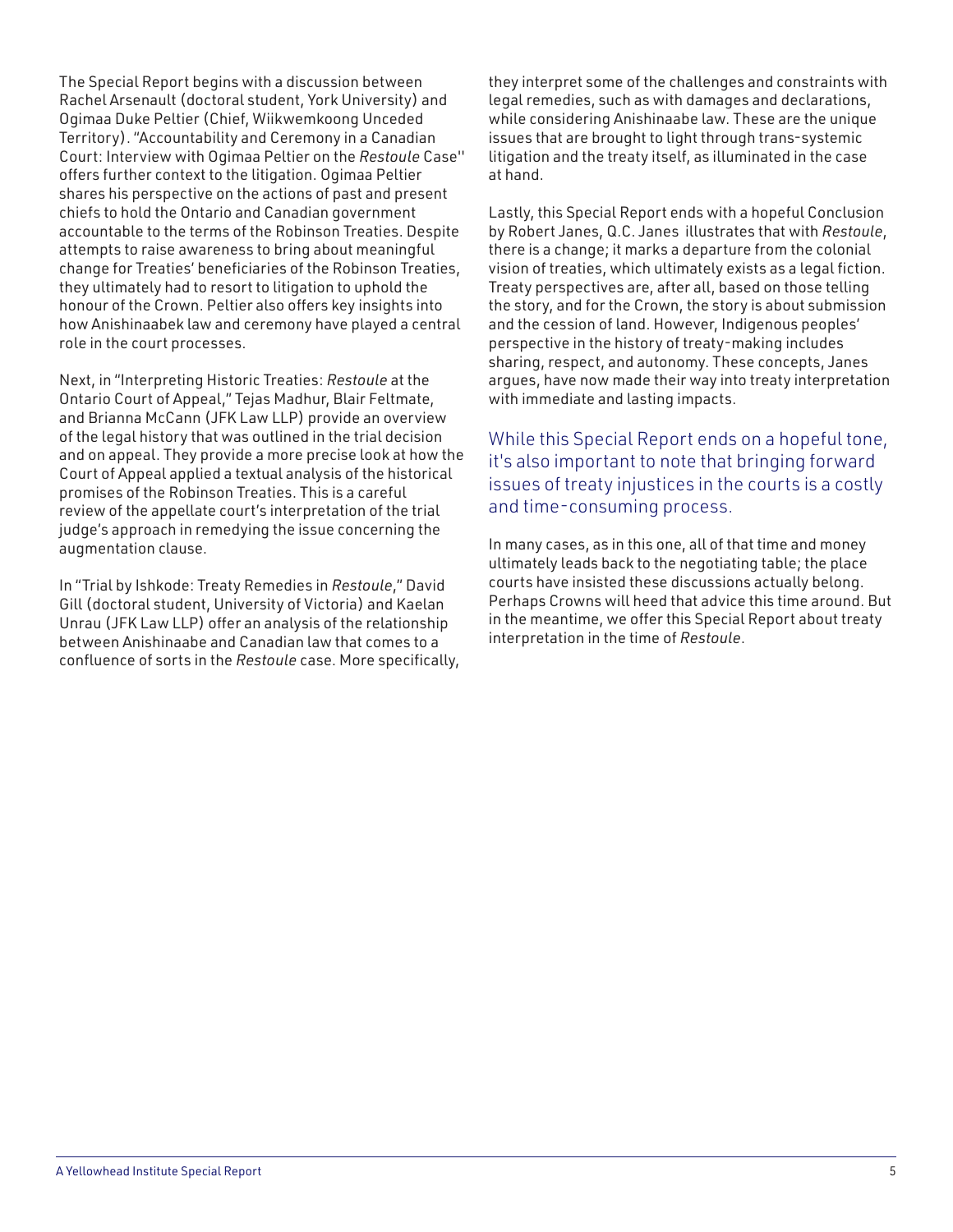The Special Report begins with a discussion between Rachel Arsenault (doctoral student, York University) and Ogimaa Duke Peltier (Chief, Wiikwemkoong Unceded Territory). "Accountability and Ceremony in a Canadian Court: Interview with Ogimaa Peltier on the *Restoule* Case'' offers further context to the litigation. Ogimaa Peltier shares his perspective on the actions of past and present chiefs to hold the Ontario and Canadian government accountable to the terms of the Robinson Treaties. Despite attempts to raise awareness to bring about meaningful change for Treaties' beneficiaries of the Robinson Treaties, they ultimately had to resort to litigation to uphold the honour of the Crown. Peltier also offers key insights into how Anishinaabek law and ceremony have played a central role in the court processes.

Next, in "Interpreting Historic Treaties: *Restoule* at the Ontario Court of Appeal," Tejas Madhur, Blair Feltmate, and Brianna McCann (JFK Law LLP) provide an overview of the legal history that was outlined in the trial decision and on appeal. They provide a more precise look at how the Court of Appeal applied a textual analysis of the historical promises of the Robinson Treaties. This is a careful review of the appellate court's interpretation of the trial judge's approach in remedying the issue concerning the augmentation clause.

In "Trial by Ishkode: Treaty Remedies in *Restoule*," David Gill (doctoral student, University of Victoria) and Kaelan Unrau (JFK Law LLP) offer an analysis of the relationship between Anishinaabe and Canadian law that comes to a confluence of sorts in the *Restoule* case. More specifically, they interpret some of the challenges and constraints with legal remedies, such as with damages and declarations, while considering Anishinaabe law. These are the unique issues that are brought to light through trans-systemic litigation and the treaty itself, as illuminated in the case at hand.

Lastly, this Special Report ends with a hopeful Conclusion by Robert Janes, Q.C. Janes illustrates that with *Restoule*, there is a change; it marks a departure from the colonial vision of treaties, which ultimately exists as a legal fiction. Treaty perspectives are, after all, based on those telling the story, and for the Crown, the story is about submission and the cession of land. However, Indigenous peoples' perspective in the history of treaty-making includes sharing, respect, and autonomy. These concepts, Janes argues, have now made their way into treaty interpretation with immediate and lasting impacts.

While this Special Report ends on a hopeful tone, it's also important to note that bringing forward issues of treaty injustices in the courts is a costly and time-consuming process.

In many cases, as in this one, all of that time and money ultimately leads back to the negotiating table; the place courts have insisted these discussions actually belong. Perhaps Crowns will heed that advice this time around. But in the meantime, we offer this Special Report about treaty interpretation in the time of *Restoule*.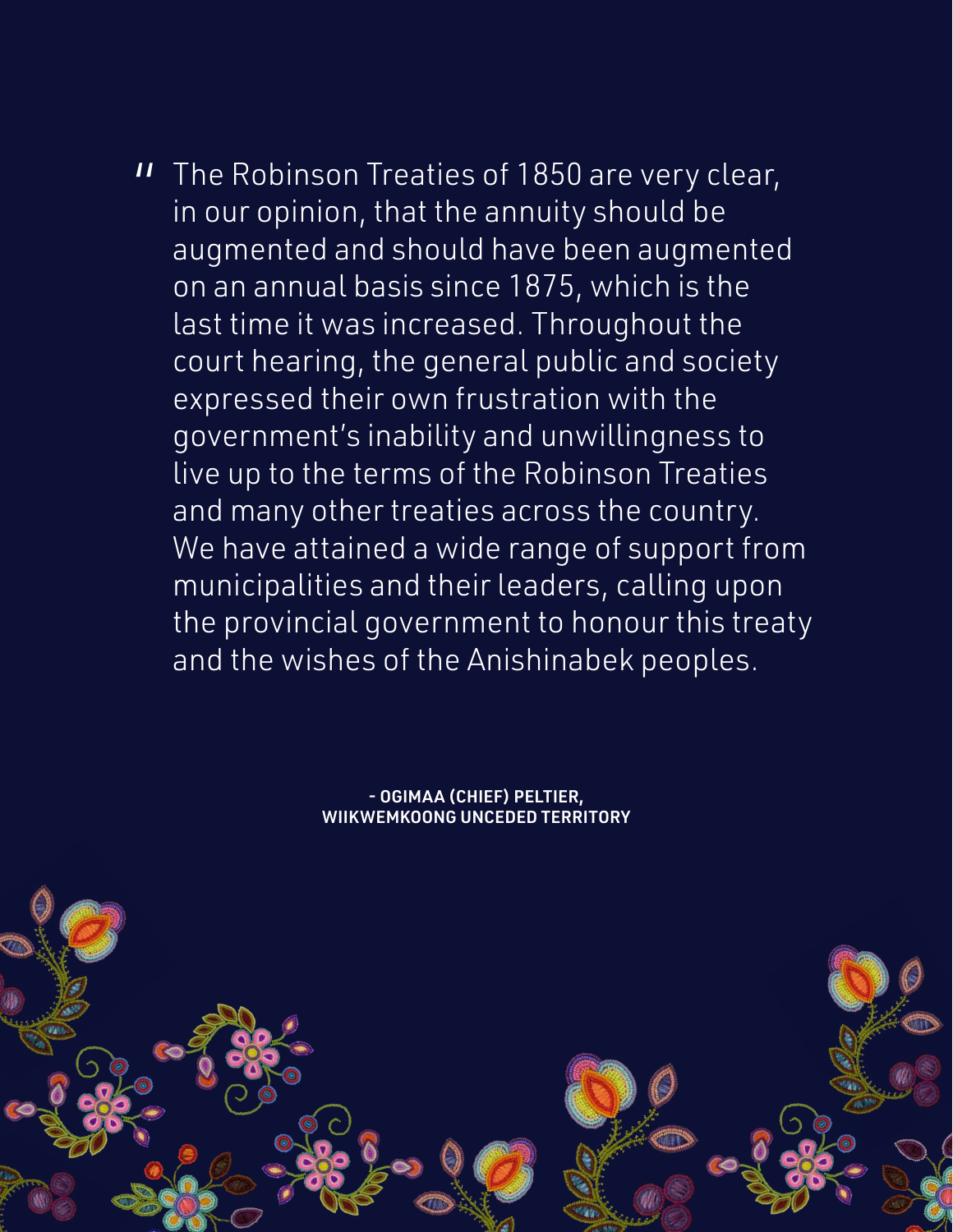**I** The Robinson Treaties of 1850 are very clear,<br>in our opinion that the annuity should be in our opinion, that the annuity should be augmented and should have been augmented on an annual basis since 1875, which is the last time it was increased. Throughout the court hearing, the general public and society expressed their own frustration with the government's inability and unwillingness to live up to the terms of the Robinson Treaties and many other treaties across the country. We have attained a wide range of support from municipalities and their leaders, calling upon the provincial government to honour this treaty and the wishes of the Anishinabek peoples.

> - OGIMAA (CHIEF) PELTIER, WIIKWEMKOONG UNCEDED TERRITORY

6 Treaty Interpretation in the Age of *Restoule*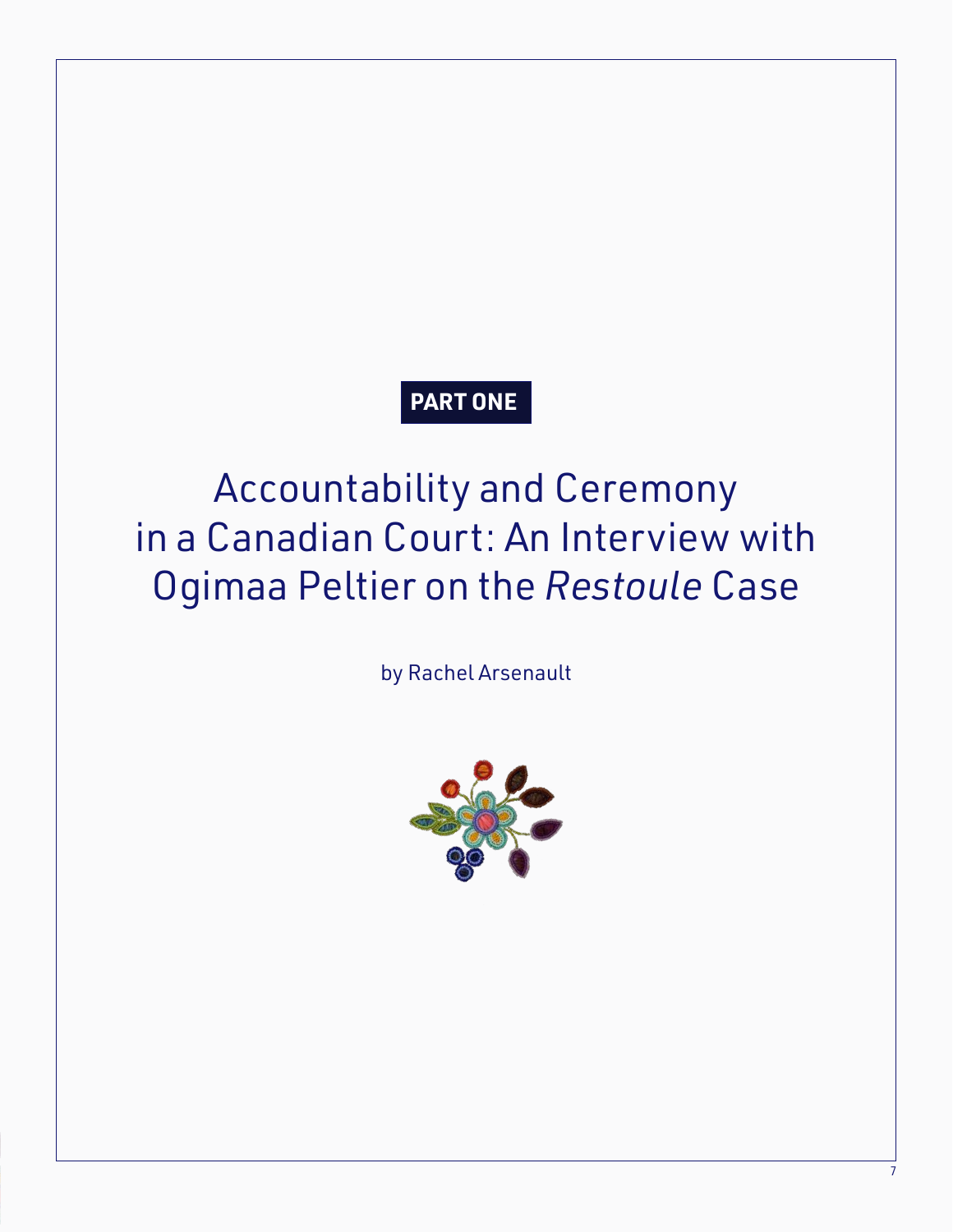### **PART ONE**

## Accountability and Ceremony in a Canadian Court: An Interview with Ogimaa Peltier on the *Restoule* Case

by Rachel Arsenault

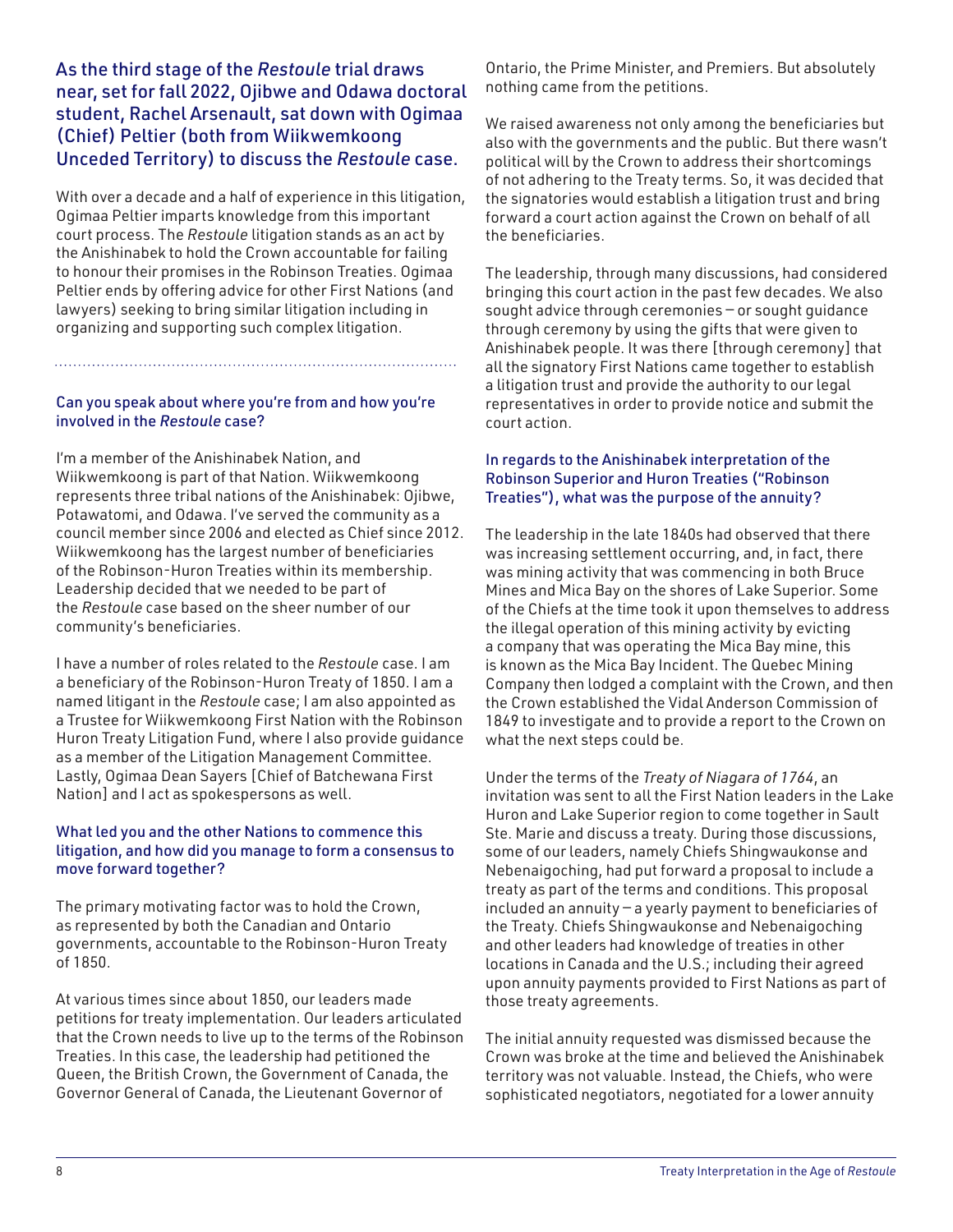As the third stage of the *Restoule* trial draws near, set for fall 2022, Ojibwe and Odawa doctoral student, Rachel Arsenault, sat down with Ogimaa (Chief) Peltier (both from Wiikwemkoong Unceded Territory) to discuss the *Restoule* case.

With over a decade and a half of experience in this litigation, Ogimaa Peltier imparts knowledge from this important court process. The *Restoule* litigation stands as an act by the Anishinabek to hold the Crown accountable for failing to honour their promises in the Robinson Treaties. Ogimaa Peltier ends by offering advice for other First Nations (and lawyers) seeking to bring similar litigation including in organizing and supporting such complex litigation.

#### Can you speak about where you're from and how you're involved in the *Restoule* case?

I'm a member of the Anishinabek Nation, and Wiikwemkoong is part of that Nation. Wiikwemkoong represents three tribal nations of the Anishinabek: Ojibwe, Potawatomi, and Odawa. I've served the community as a council member since 2006 and elected as Chief since 2012. Wiikwemkoong has the largest number of beneficiaries of the Robinson-Huron Treaties within its membership. Leadership decided that we needed to be part of the *Restoule* case based on the sheer number of our community's beneficiaries.

I have a number of roles related to the *Restoule* case. I am a beneficiary of the Robinson-Huron Treaty of 1850. I am a named litigant in the *Restoule* case; I am also appointed as a Trustee for Wiikwemkoong First Nation with the Robinson Huron Treaty Litigation Fund, where I also provide guidance as a member of the Litigation Management Committee. Lastly, Ogimaa Dean Sayers [Chief of Batchewana First Nation] and I act as spokespersons as well.

#### What led you and the other Nations to commence this litigation, and how did you manage to form a consensus to move forward together?

The primary motivating factor was to hold the Crown, as represented by both the Canadian and Ontario governments, accountable to the Robinson-Huron Treaty of 1850.

At various times since about 1850, our leaders made petitions for treaty implementation. Our leaders articulated that the Crown needs to live up to the terms of the Robinson Treaties. In this case, the leadership had petitioned the Queen, the British Crown, the Government of Canada, the Governor General of Canada, the Lieutenant Governor of

Ontario, the Prime Minister, and Premiers. But absolutely nothing came from the petitions.

We raised awareness not only among the beneficiaries but also with the governments and the public. But there wasn't political will by the Crown to address their shortcomings of not adhering to the Treaty terms. So, it was decided that the signatories would establish a litigation trust and bring forward a court action against the Crown on behalf of all the beneficiaries.

The leadership, through many discussions, had considered bringing this court action in the past few decades. We also sought advice through ceremonies — or sought guidance through ceremony by using the gifts that were given to Anishinabek people. It was there [through ceremony] that all the signatory First Nations came together to establish a litigation trust and provide the authority to our legal representatives in order to provide notice and submit the court action.

#### In regards to the Anishinabek interpretation of the Robinson Superior and Huron Treaties ("Robinson Treaties"), what was the purpose of the annuity?

The leadership in the late 1840s had observed that there was increasing settlement occurring, and, in fact, there was mining activity that was commencing in both Bruce Mines and Mica Bay on the shores of Lake Superior. Some of the Chiefs at the time took it upon themselves to address the illegal operation of this mining activity by evicting a company that was operating the Mica Bay mine, this is known as the Mica Bay Incident. The Quebec Mining Company then lodged a complaint with the Crown, and then the Crown established the Vidal Anderson Commission of 1849 to investigate and to provide a report to the Crown on what the next steps could be.

Under the terms of the *Treaty of Niagara of 1764*, an invitation was sent to all the First Nation leaders in the Lake Huron and Lake Superior region to come together in Sault Ste. Marie and discuss a treaty. During those discussions, some of our leaders, namely Chiefs Shingwaukonse and Nebenaigoching, had put forward a proposal to include a treaty as part of the terms and conditions. This proposal included an annuity — a yearly payment to beneficiaries of the Treaty. Chiefs Shingwaukonse and Nebenaigoching and other leaders had knowledge of treaties in other locations in Canada and the U.S.; including their agreed upon annuity payments provided to First Nations as part of those treaty agreements.

The initial annuity requested was dismissed because the Crown was broke at the time and believed the Anishinabek territory was not valuable. Instead, the Chiefs, who were sophisticated negotiators, negotiated for a lower annuity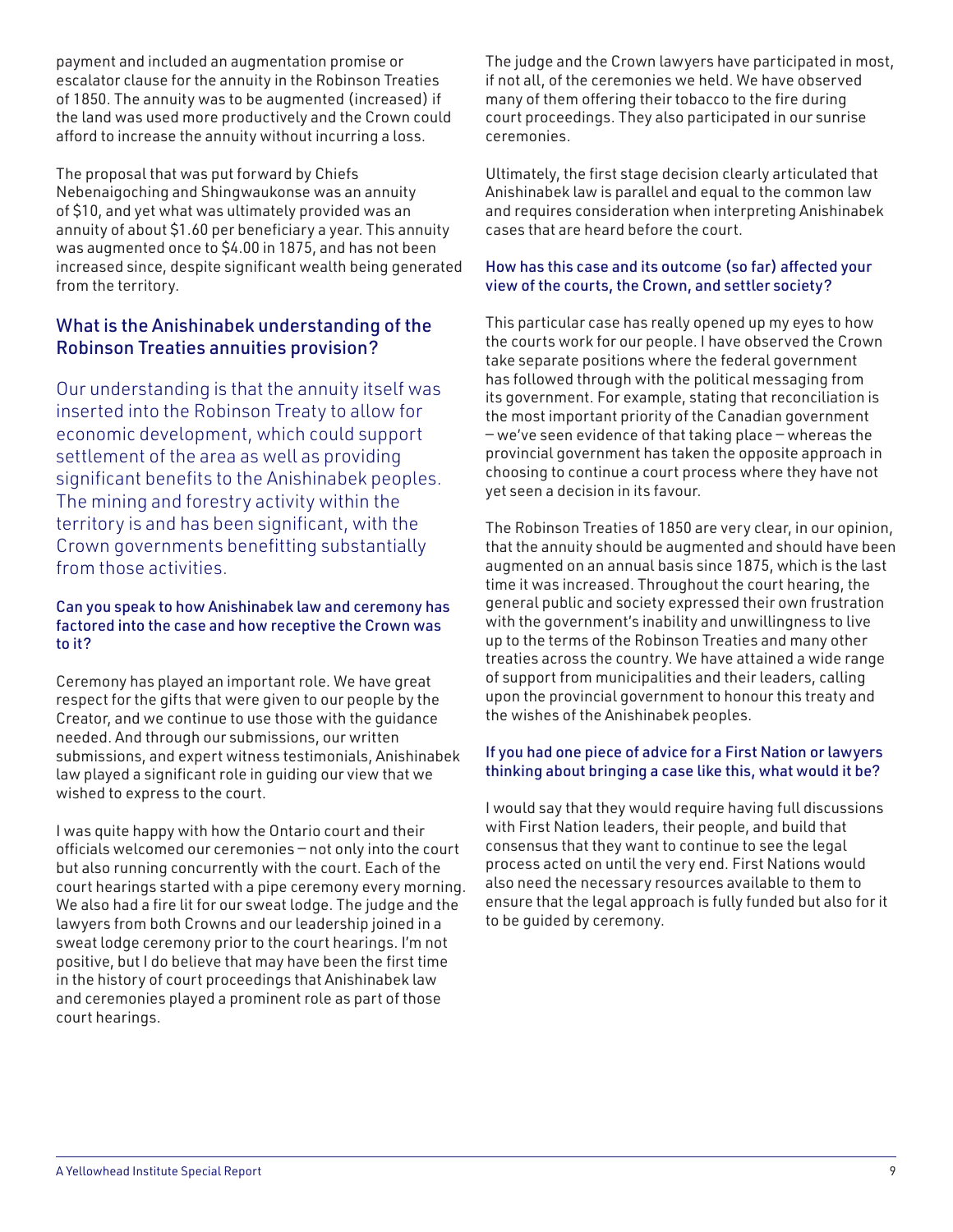payment and included an augmentation promise or escalator clause for the annuity in the Robinson Treaties of 1850. The annuity was to be augmented (increased) if the land was used more productively and the Crown could afford to increase the annuity without incurring a loss.

The proposal that was put forward by Chiefs Nebenaigoching and Shingwaukonse was an annuity of \$10, and yet what was ultimately provided was an annuity of about \$1.60 per beneficiary a year. This annuity was augmented once to \$4.00 in 1875, and has not been increased since, despite significant wealth being generated from the territory.

### What is the Anishinabek understanding of the Robinson Treaties annuities provision?

Our understanding is that the annuity itself was inserted into the Robinson Treaty to allow for economic development, which could support settlement of the area as well as providing significant benefits to the Anishinabek peoples. The mining and forestry activity within the territory is and has been significant, with the Crown governments benefitting substantially from those activities.

#### Can you speak to how Anishinabek law and ceremony has factored into the case and how receptive the Crown was to it?

Ceremony has played an important role. We have great respect for the gifts that were given to our people by the Creator, and we continue to use those with the guidance needed. And through our submissions, our written submissions, and expert witness testimonials, Anishinabek law played a significant role in guiding our view that we wished to express to the court.

I was quite happy with how the Ontario court and their officials welcomed our ceremonies — not only into the court but also running concurrently with the court. Each of the court hearings started with a pipe ceremony every morning. We also had a fire lit for our sweat lodge. The judge and the lawyers from both Crowns and our leadership joined in a sweat lodge ceremony prior to the court hearings. I'm not positive, but I do believe that may have been the first time in the history of court proceedings that Anishinabek law and ceremonies played a prominent role as part of those court hearings.

The judge and the Crown lawyers have participated in most, if not all, of the ceremonies we held. We have observed many of them offering their tobacco to the fire during court proceedings. They also participated in our sunrise ceremonies.

Ultimately, the first stage decision clearly articulated that Anishinabek law is parallel and equal to the common law and requires consideration when interpreting Anishinabek cases that are heard before the court.

#### How has this case and its outcome (so far) affected your view of the courts, the Crown, and settler society?

This particular case has really opened up my eyes to how the courts work for our people. I have observed the Crown take separate positions where the federal government has followed through with the political messaging from its government. For example, stating that reconciliation is the most important priority of the Canadian government — we've seen evidence of that taking place — whereas the provincial government has taken the opposite approach in choosing to continue a court process where they have not yet seen a decision in its favour.

The Robinson Treaties of 1850 are very clear, in our opinion, that the annuity should be augmented and should have been augmented on an annual basis since 1875, which is the last time it was increased. Throughout the court hearing, the general public and society expressed their own frustration with the government's inability and unwillingness to live up to the terms of the Robinson Treaties and many other treaties across the country. We have attained a wide range of support from municipalities and their leaders, calling upon the provincial government to honour this treaty and the wishes of the Anishinabek peoples.

#### If you had one piece of advice for a First Nation or lawyers thinking about bringing a case like this, what would it be?

I would say that they would require having full discussions with First Nation leaders, their people, and build that consensus that they want to continue to see the legal process acted on until the very end. First Nations would also need the necessary resources available to them to ensure that the legal approach is fully funded but also for it to be guided by ceremony.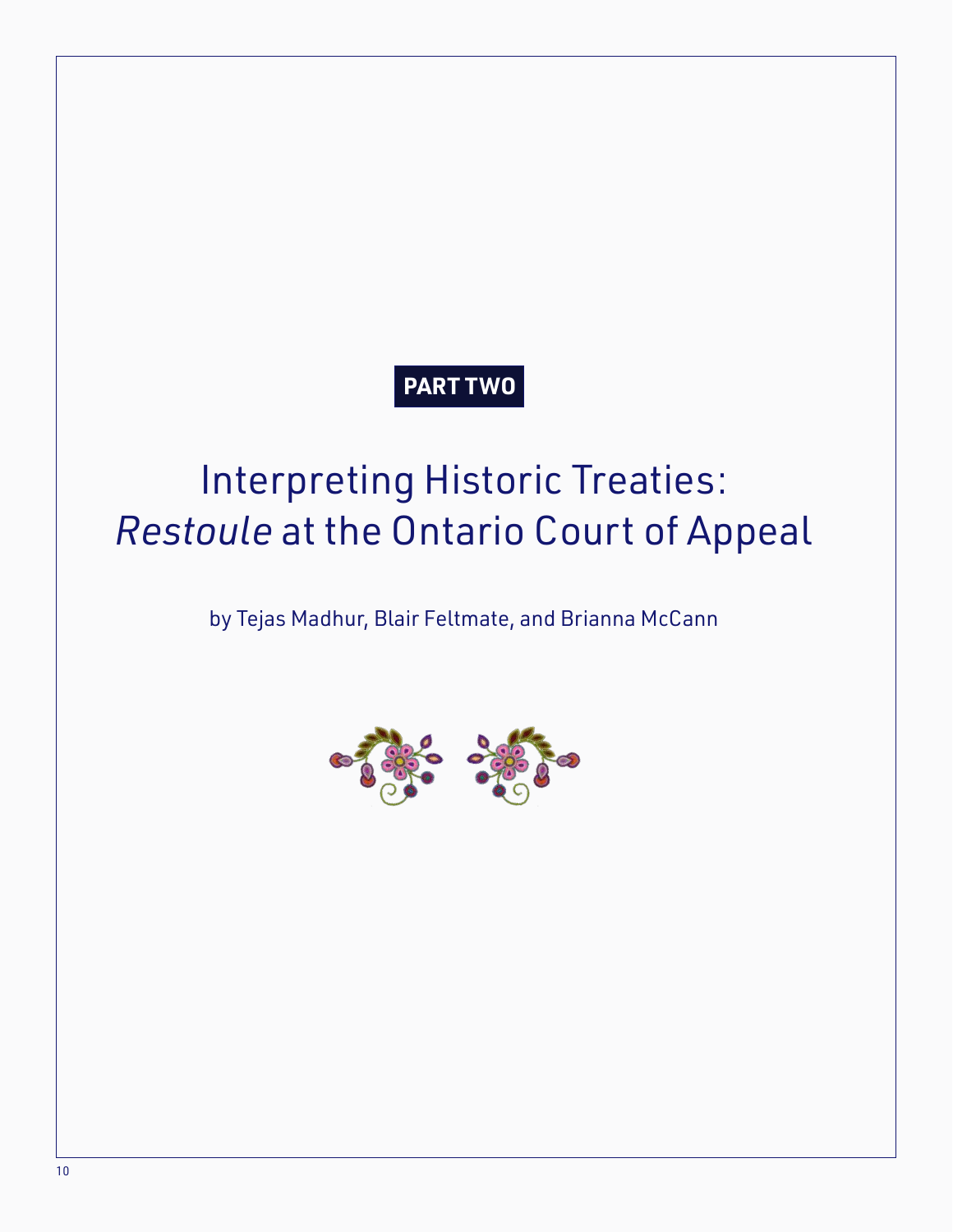### **PART TWO**

## Interpreting Historic Treaties: *Restoule* at the Ontario Court of Appeal

by Tejas Madhur, Blair Feltmate, and Brianna McCann

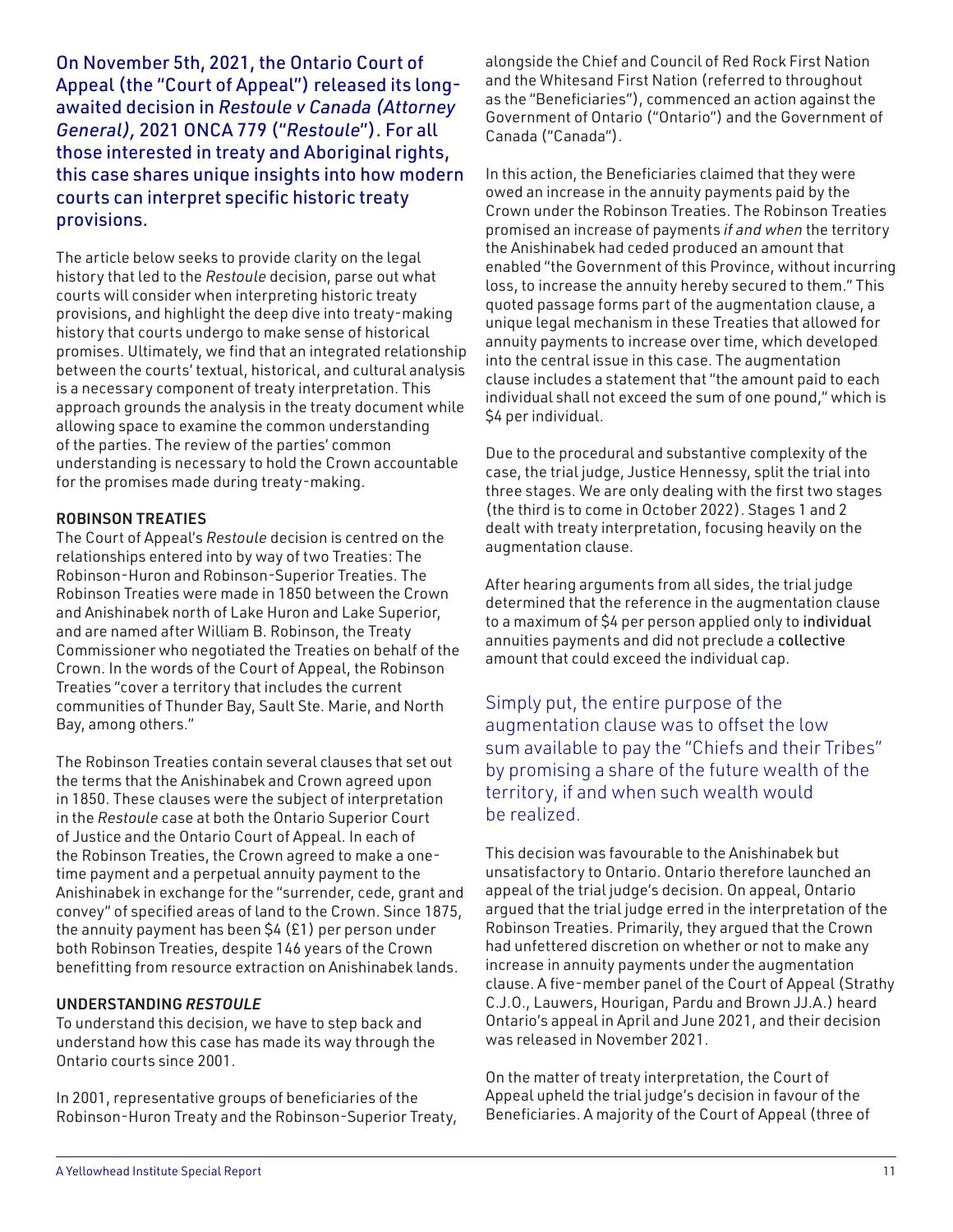On November 5th, 2021, the Ontario Court of Appeal (the "Court of Appeal") released its longawaited decision in *Restoule v Canada (Attorney General),* 2021 ONCA 779 ("*Restoule*"). For all those interested in treaty and Aboriginal rights, this case shares unique insights into how modern courts can interpret specific historic treaty provisions.

The article below seeks to provide clarity on the legal history that led to the *Restoule* decision, parse out what courts will consider when interpreting historic treaty provisions, and highlight the deep dive into treaty-making history that courts undergo to make sense of historical promises. Ultimately, we find that an integrated relationship between the courts' textual, historical, and cultural analysis is a necessary component of treaty interpretation. This approach grounds the analysis in the treaty document while allowing space to examine the common understanding of the parties. The review of the parties' common understanding is necessary to hold the Crown accountable for the promises made during treaty-making.

#### ROBINSON TREATIES

The Court of Appeal's *Restoule* decision is centred on the relationships entered into by way of two Treaties: The Robinson-Huron and Robinson-Superior Treaties. The Robinson Treaties were made in 1850 between the Crown and Anishinabek north of Lake Huron and Lake Superior, and are named after William B. Robinson, the Treaty Commissioner who negotiated the Treaties on behalf of the Crown. In the words of the Court of Appeal, the Robinson Treaties "cover a territory that includes the current communities of Thunder Bay, Sault Ste. Marie, and North Bay, among others."

The Robinson Treaties contain several clauses that set out the terms that the Anishinabek and Crown agreed upon in 1850. These clauses were the subject of interpretation in the *Restoule* case at both the Ontario Superior Court of Justice and the Ontario Court of Appeal. In each of the Robinson Treaties, the Crown agreed to make a onetime payment and a perpetual annuity payment to the Anishinabek in exchange for the "surrender, cede, grant and convey" of specified areas of land to the Crown. Since 1875, the annuity payment has been \$4 (£1) per person under both Robinson Treaties, despite 146 years of the Crown benefitting from resource extraction on Anishinabek lands.

#### UNDERSTANDING *RESTOULE*

To understand this decision, we have to step back and understand how this case has made its way through the Ontario courts since 2001.

In 2001, representative groups of beneficiaries of the Robinson-Huron Treaty and the Robinson-Superior Treaty, alongside the Chief and Council of Red Rock First Nation and the Whitesand First Nation (referred to throughout as the "Beneficiaries"), commenced an action against the Government of Ontario ("Ontario") and the Government of Canada ("Canada").

In this action, the Beneficiaries claimed that they were owed an increase in the annuity payments paid by the Crown under the Robinson Treaties. The Robinson Treaties promised an increase of payments *if and when* the territory the Anishinabek had ceded produced an amount that enabled "the Government of this Province, without incurring loss, to increase the annuity hereby secured to them." This quoted passage forms part of the augmentation clause, a unique legal mechanism in these Treaties that allowed for annuity payments to increase over time, which developed into the central issue in this case. The augmentation clause includes a statement that "the amount paid to each individual shall not exceed the sum of one pound," which is \$4 per individual.

Due to the procedural and substantive complexity of the case, the trial judge, Justice Hennessy, split the trial into three stages. We are only dealing with the first two stages (the third is to come in October 2022). Stages 1 and 2 dealt with treaty interpretation, focusing heavily on the augmentation clause.

After hearing arguments from all sides, the trial judge determined that the reference in the augmentation clause to a maximum of \$4 per person applied only to individual annuities payments and did not preclude a collective amount that could exceed the individual cap.

Simply put, the entire purpose of the augmentation clause was to offset the low sum available to pay the "Chiefs and their Tribes" by promising a share of the future wealth of the territory, if and when such wealth would be realized.

This decision was favourable to the Anishinabek but unsatisfactory to Ontario. Ontario therefore launched an appeal of the trial judge's decision. On appeal, Ontario argued that the trial judge erred in the interpretation of the Robinson Treaties. Primarily, they argued that the Crown had unfettered discretion on whether or not to make any increase in annuity payments under the augmentation clause. A five-member panel of the Court of Appeal (Strathy C.J.O., Lauwers, Hourigan, Pardu and Brown JJ.A.) heard Ontario's appeal in April and June 2021, and their decision was released in November 2021.

On the matter of treaty interpretation, the Court of Appeal upheld the trial judge's decision in favour of the Beneficiaries. A majority of the Court of Appeal (three of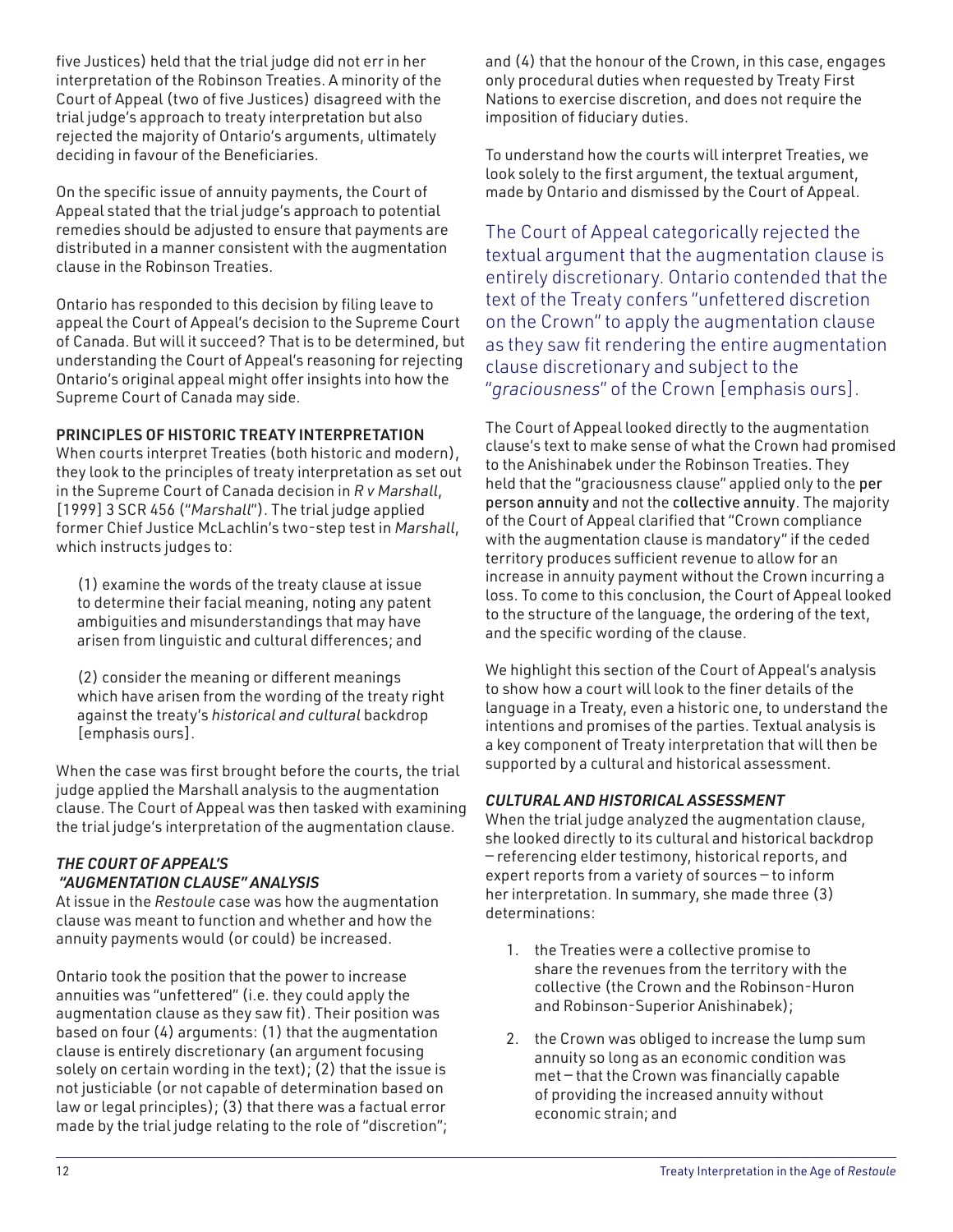five Justices) held that the trial judge did not err in her interpretation of the Robinson Treaties. A minority of the Court of Appeal (two of five Justices) disagreed with the trial judge's approach to treaty interpretation but also rejected the majority of Ontario's arguments, ultimately deciding in favour of the Beneficiaries.

On the specific issue of annuity payments, the Court of Appeal stated that the trial judge's approach to potential remedies should be adjusted to ensure that payments are distributed in a manner consistent with the augmentation clause in the Robinson Treaties.

Ontario has responded to this decision by filing leave to appeal the Court of Appeal's decision to the Supreme Court of Canada. But will it succeed? That is to be determined, but understanding the Court of Appeal's reasoning for rejecting Ontario's original appeal might offer insights into how the Supreme Court of Canada may side.

#### PRINCIPLES OF HISTORIC TREATY INTERPRETATION

When courts interpret Treaties (both historic and modern), they look to the principles of treaty interpretation as set out in the Supreme Court of Canada decision in *R v Marshall*, [1999] 3 SCR 456 ("*Marshall*"). The trial judge applied former Chief Justice McLachlin's two-step test in *Marshall*, which instructs judges to:

(1) examine the words of the treaty clause at issue to determine their facial meaning, noting any patent ambiguities and misunderstandings that may have arisen from linguistic and cultural differences; and

(2) consider the meaning or different meanings which have arisen from the wording of the treaty right against the treaty's *historical and cultural* backdrop [emphasis ours].

When the case was first brought before the courts, the trial judge applied the Marshall analysis to the augmentation clause. The Court of Appeal was then tasked with examining the trial judge's interpretation of the augmentation clause.

#### *THE COURT OF APPEAL'S "AUGMENTATION CLAUSE" ANALYSIS*

At issue in the *Restoule* case was how the augmentation clause was meant to function and whether and how the annuity payments would (or could) be increased.

Ontario took the position that the power to increase annuities was "unfettered" (i.e. they could apply the augmentation clause as they saw fit). Their position was based on four (4) arguments: (1) that the augmentation clause is entirely discretionary (an argument focusing solely on certain wording in the text); (2) that the issue is not justiciable (or not capable of determination based on law or legal principles); (3) that there was a factual error made by the trial judge relating to the role of "discretion"; and (4) that the honour of the Crown, in this case, engages only procedural duties when requested by Treaty First Nations to exercise discretion, and does not require the imposition of fiduciary duties.

To understand how the courts will interpret Treaties, we look solely to the first argument, the textual argument, made by Ontario and dismissed by the Court of Appeal.

The Court of Appeal categorically rejected the textual argument that the augmentation clause is entirely discretionary. Ontario contended that the text of the Treaty confers "unfettered discretion on the Crown" to apply the augmentation clause as they saw fit rendering the entire augmentation clause discretionary and subject to the "*graciousness*" of the Crown [emphasis ours].

The Court of Appeal looked directly to the augmentation clause's text to make sense of what the Crown had promised to the Anishinabek under the Robinson Treaties. They held that the "graciousness clause" applied only to the per person annuity and not the collective annuity. The majority of the Court of Appeal clarified that "Crown compliance with the augmentation clause is mandatory" if the ceded territory produces sufficient revenue to allow for an increase in annuity payment without the Crown incurring a loss. To come to this conclusion, the Court of Appeal looked to the structure of the language, the ordering of the text, and the specific wording of the clause.

We highlight this section of the Court of Appeal's analysis to show how a court will look to the finer details of the language in a Treaty, even a historic one, to understand the intentions and promises of the parties. Textual analysis is a key component of Treaty interpretation that will then be supported by a cultural and historical assessment.

#### *CULTURAL AND HISTORICAL ASSESSMENT*

When the trial judge analyzed the augmentation clause, she looked directly to its cultural and historical backdrop — referencing elder testimony, historical reports, and expert reports from a variety of sources — to inform her interpretation. In summary, she made three (3) determinations:

- 1. the Treaties were a collective promise to share the revenues from the territory with the collective (the Crown and the Robinson-Huron and Robinson-Superior Anishinabek);
- 2. the Crown was obliged to increase the lump sum annuity so long as an economic condition was met — that the Crown was financially capable of providing the increased annuity without economic strain; and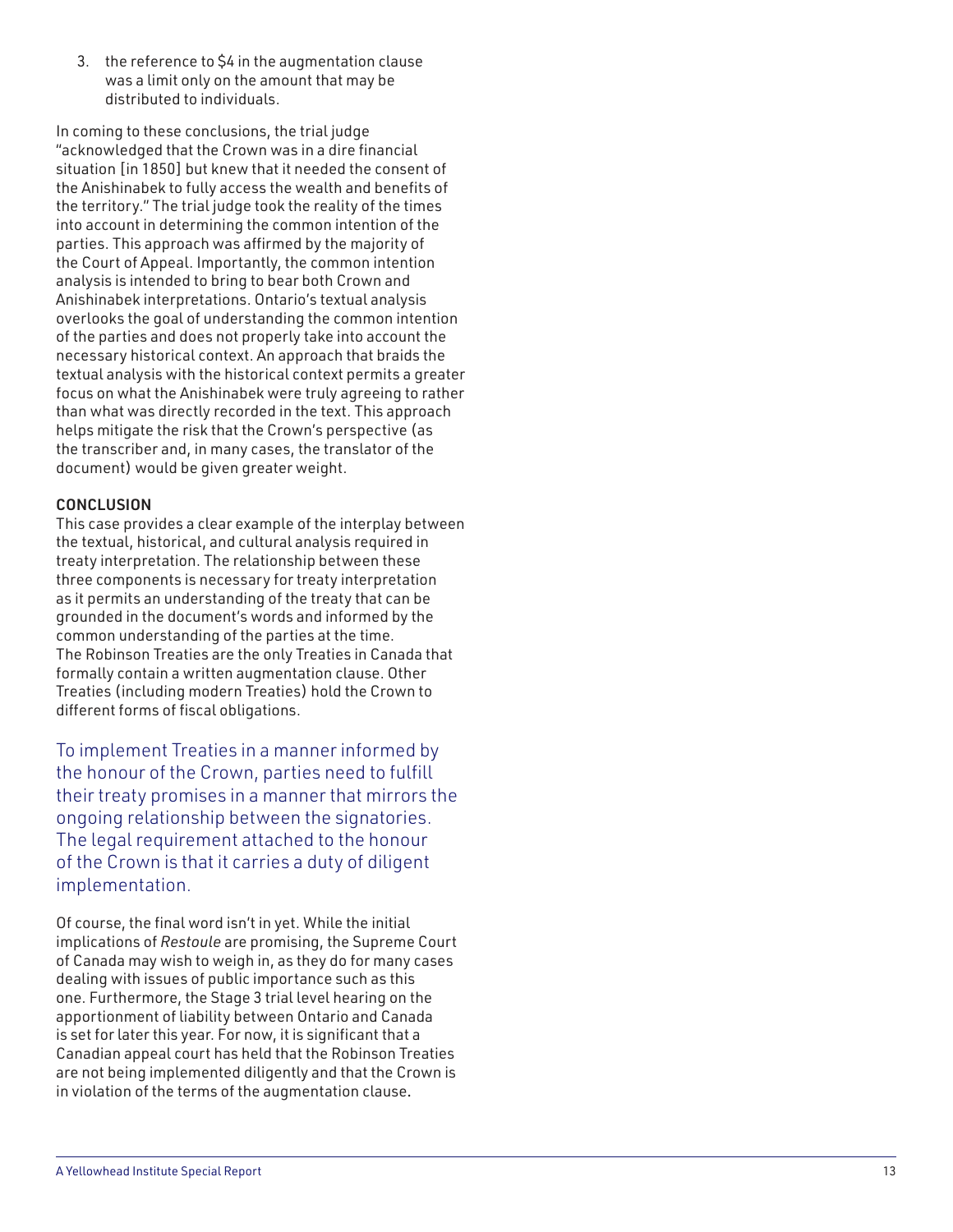3. the reference to \$4 in the augmentation clause was a limit only on the amount that may be distributed to individuals.

In coming to these conclusions, the trial judge "acknowledged that the Crown was in a dire financial situation [in 1850] but knew that it needed the consent of the Anishinabek to fully access the wealth and benefits of the territory." The trial judge took the reality of the times into account in determining the common intention of the parties. This approach was affirmed by the majority of the Court of Appeal. Importantly, the common intention analysis is intended to bring to bear both Crown and Anishinabek interpretations. Ontario's textual analysis overlooks the goal of understanding the common intention of the parties and does not properly take into account the necessary historical context. An approach that braids the textual analysis with the historical context permits a greater focus on what the Anishinabek were truly agreeing to rather than what was directly recorded in the text. This approach helps mitigate the risk that the Crown's perspective (as the transcriber and, in many cases, the translator of the document) would be given greater weight.

#### **CONCLUSION**

This case provides a clear example of the interplay between the textual, historical, and cultural analysis required in treaty interpretation. The relationship between these three components is necessary for treaty interpretation as it permits an understanding of the treaty that can be grounded in the document's words and informed by the common understanding of the parties at the time. The Robinson Treaties are the only Treaties in Canada that formally contain a written augmentation clause. Other Treaties (including modern Treaties) hold the Crown to different forms of fiscal obligations.

To implement Treaties in a manner informed by the honour of the Crown, parties need to fulfill their treaty promises in a manner that mirrors the ongoing relationship between the signatories. The legal requirement attached to the honour of the Crown is that it carries a duty of diligent implementation.

Of course, the final word isn't in yet. While the initial implications of *Restoule* are promising, the Supreme Court of Canada may wish to weigh in, as they do for many cases dealing with issues of public importance such as this one. Furthermore, the Stage 3 trial level hearing on the apportionment of liability between Ontario and Canada is set for later this year. For now, it is significant that a Canadian appeal court has held that the Robinson Treaties are not being implemented diligently and that the Crown is in violation of the terms of the augmentation clause .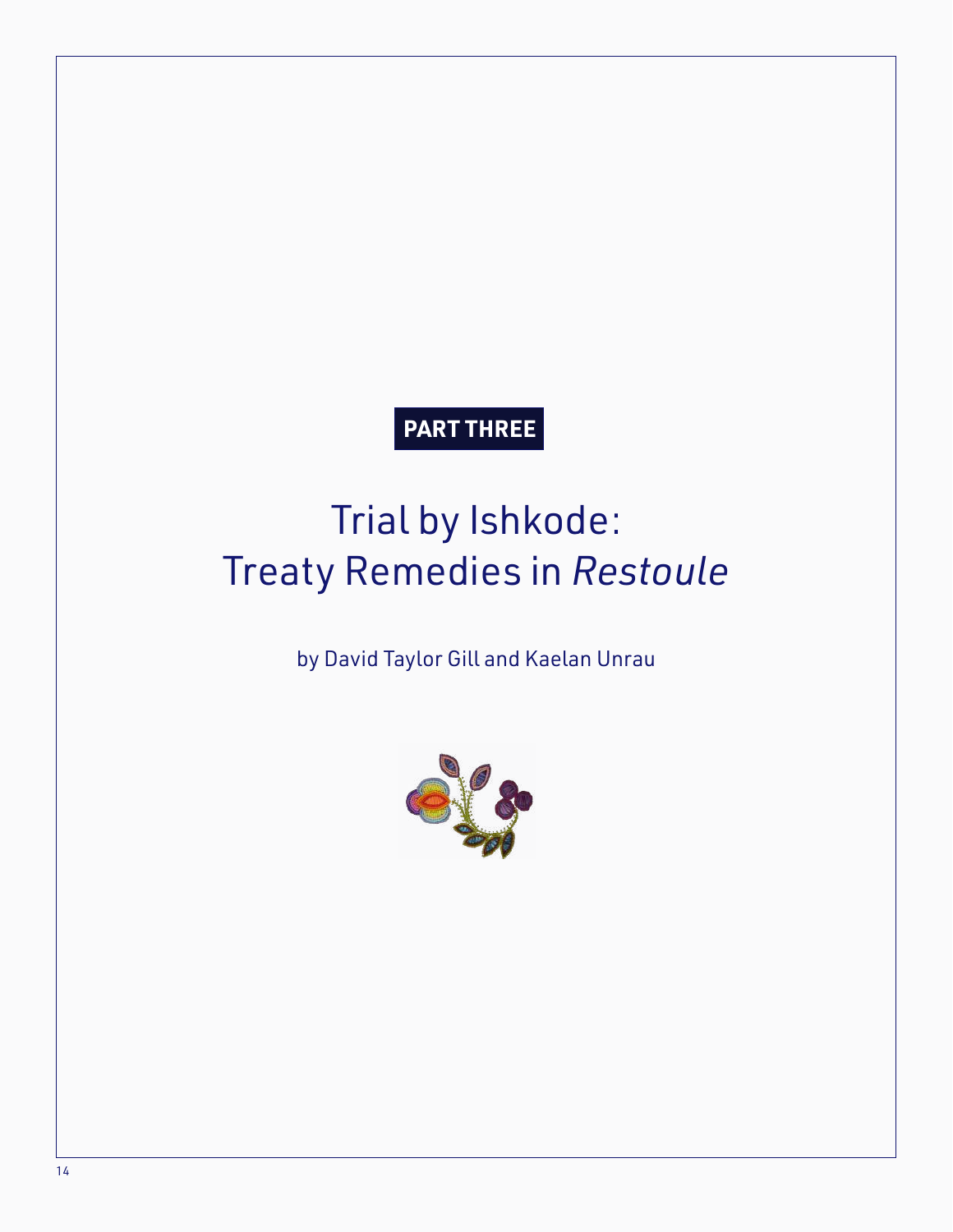## **PART THREE**

# Trial by Ishkode: Treaty Remedies in *Restoule*

### by David Taylor Gill and Kaelan Unrau

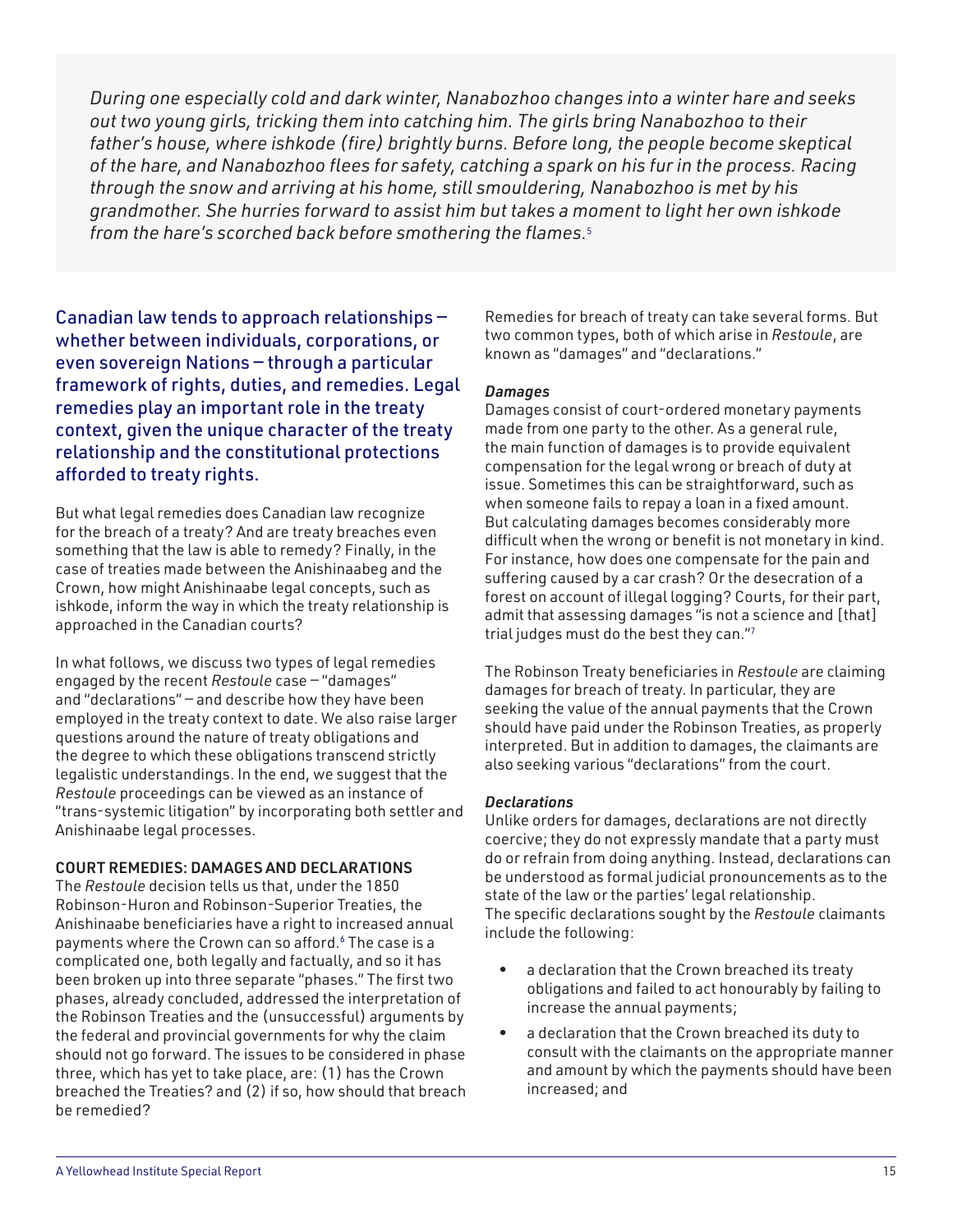*During one especially cold and dark winter, Nanabozhoo changes into a winter hare and seeks out two young girls, tricking them into catching him. The girls bring Nanabozhoo to their father's house, where ishkode (fire) brightly burns. Before long, the people become skeptical of the hare, and Nanabozhoo flees for safety, catching a spark on his fur in the process. Racing through the snow and arriving at his home, still smouldering, Nanabozhoo is met by his grandmother. She hurries forward to assist him but takes a moment to light her own ishkode from the hare's scorched back before smothering the flames.*5

Canadian law tends to approach relationships whether between individuals, corporations, or even sovereign Nations — through a particular framework of rights, duties, and remedies. Legal remedies play an important role in the treaty context, given the unique character of the treaty relationship and the constitutional protections afforded to treaty rights.

But what legal remedies does Canadian law recognize for the breach of a treaty? And are treaty breaches even something that the law is able to remedy? Finally, in the case of treaties made between the Anishinaabeg and the Crown, how might Anishinaabe legal concepts, such as ishkode, inform the way in which the treaty relationship is approached in the Canadian courts?

In what follows, we discuss two types of legal remedies engaged by the recent *Restoule* case — "damages" and "declarations" — and describe how they have been employed in the treaty context to date. We also raise larger questions around the nature of treaty obligations and the degree to which these obligations transcend strictly legalistic understandings. In the end, we suggest that the *Restoule* proceedings can be viewed as an instance of "trans-systemic litigation" by incorporating both settler and Anishinaabe legal processes.

#### COURT REMEDIES: DAMAGES AND DECLARATIONS

The *Restoule* decision tells us that, under the 1850 Robinson-Huron and Robinson-Superior Treaties, the Anishinaabe beneficiaries have a right to increased annual payments where the Crown can so afford.<sup>6</sup> The case is a complicated one, both legally and factually, and so it has been broken up into three separate "phases." The first two phases, already concluded, addressed the interpretation of the Robinson Treaties and the (unsuccessful) arguments by the federal and provincial governments for why the claim should not go forward. The issues to be considered in phase three, which has yet to take place, are: (1) has the Crown breached the Treaties? and (2) if so, how should that breach be remedied?

Remedies for breach of treaty can take several forms. But two common types, both of which arise in *Restoule*, are known as "damages" and "declarations."

#### *Damages*

Damages consist of court-ordered monetary payments made from one party to the other. As a general rule, the main function of damages is to provide equivalent compensation for the legal wrong or breach of duty at issue. Sometimes this can be straightforward, such as when someone fails to repay a loan in a fixed amount. But calculating damages becomes considerably more difficult when the wrong or benefit is not monetary in kind. For instance, how does one compensate for the pain and suffering caused by a car crash? Or the desecration of a forest on account of illegal logging? Courts, for their part, admit that assessing damages "is not a science and [that] trial judges must do the best they can."<sup>7</sup>

The Robinson Treaty beneficiaries in *Restoule* are claiming damages for breach of treaty. In particular, they are seeking the value of the annual payments that the Crown should have paid under the Robinson Treaties, as properly interpreted. But in addition to damages, the claimants are also seeking various "declarations" from the court.

#### *Declarations*

Unlike orders for damages, declarations are not directly coercive; they do not expressly mandate that a party must do or refrain from doing anything. Instead, declarations can be understood as formal judicial pronouncements as to the state of the law or the parties' legal relationship. The specific declarations sought by the *Restoule* claimants include the following:

- a declaration that the Crown breached its treaty obligations and failed to act honourably by failing to increase the annual payments;
- a declaration that the Crown breached its duty to consult with the claimants on the appropriate manner and amount by which the payments should have been increased; and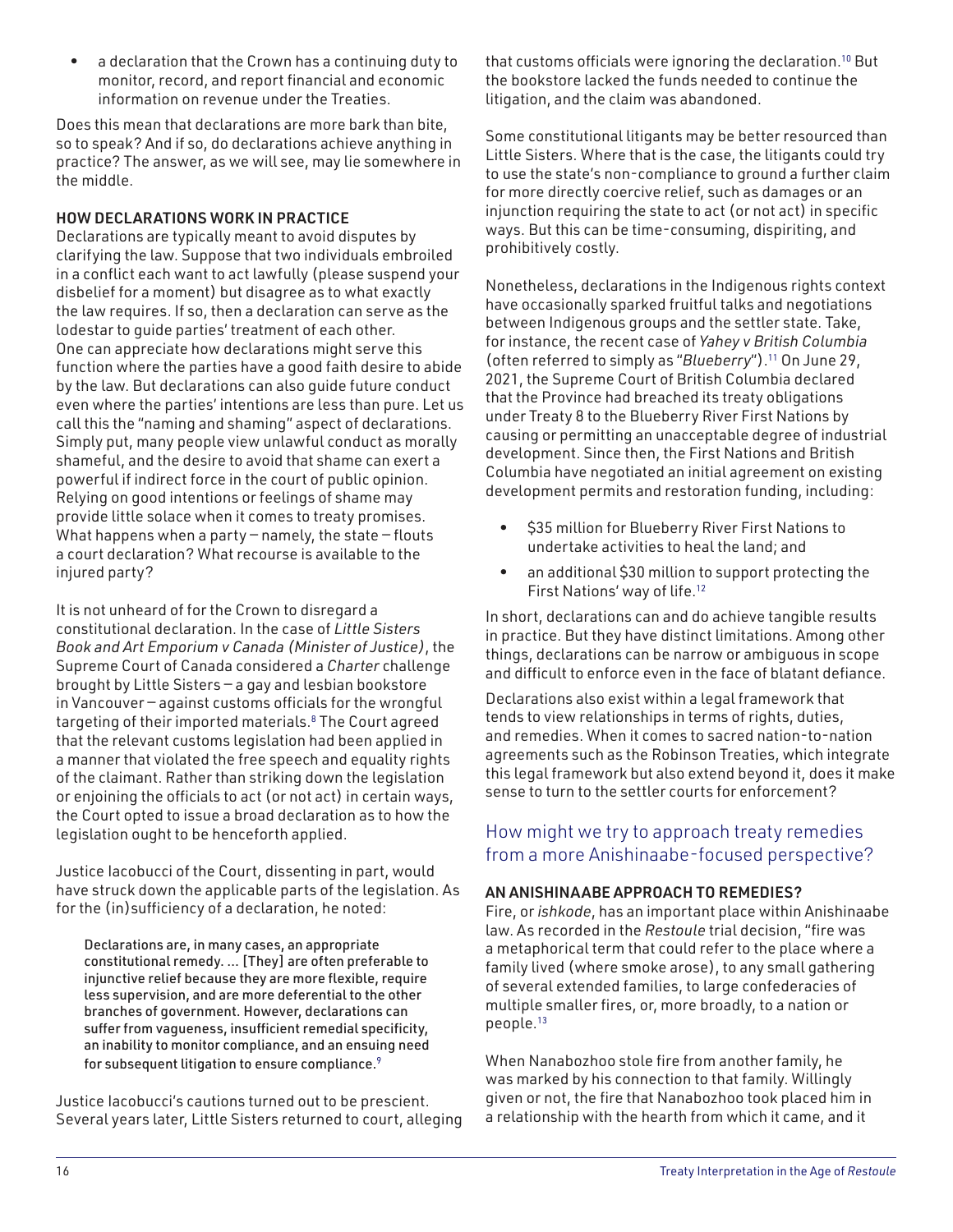• a declaration that the Crown has a continuing duty to monitor, record, and report financial and economic information on revenue under the Treaties.

Does this mean that declarations are more bark than bite, so to speak? And if so, do declarations achieve anything in practice? The answer, as we will see, may lie somewhere in the middle.

#### HOW DECLARATIONS WORK IN PRACTICE

Declarations are typically meant to avoid disputes by clarifying the law. Suppose that two individuals embroiled in a conflict each want to act lawfully (please suspend your disbelief for a moment) but disagree as to what exactly the law requires. If so, then a declaration can serve as the lodestar to guide parties' treatment of each other. One can appreciate how declarations might serve this function where the parties have a good faith desire to abide by the law. But declarations can also guide future conduct even where the parties' intentions are less than pure. Let us call this the "naming and shaming" aspect of declarations. Simply put, many people view unlawful conduct as morally shameful, and the desire to avoid that shame can exert a powerful if indirect force in the court of public opinion. Relying on good intentions or feelings of shame may provide little solace when it comes to treaty promises. What happens when a party  $-$  namely, the state  $-$  flouts a court declaration? What recourse is available to the injured party?

It is not unheard of for the Crown to disregard a constitutional declaration. In the case of *Little Sisters Book and Art Emporium v Canada (Minister of Justice)*, the Supreme Court of Canada considered a *Charter* challenge brought by Little Sisters — a gay and lesbian bookstore in Vancouver — against customs officials for the wrongful targeting of their imported materials.<sup>8</sup> The Court agreed that the relevant customs legislation had been applied in a manner that violated the free speech and equality rights of the claimant. Rather than striking down the legislation or enjoining the officials to act (or not act) in certain ways, the Court opted to issue a broad declaration as to how the legislation ought to be henceforth applied.

Justice Iacobucci of the Court, dissenting in part, would have struck down the applicable parts of the legislation. As for the (in)sufficiency of a declaration, he noted:

Declarations are, in many cases, an appropriate constitutional remedy. … [They] are often preferable to injunctive relief because they are more flexible, require less supervision, and are more deferential to the other branches of government. However, declarations can suffer from vagueness, insufficient remedial specificity, an inability to monitor compliance, and an ensuing need for subsequent litigation to ensure compliance.<sup>9</sup>

Justice Iacobucci's cautions turned out to be prescient. Several years later, Little Sisters returned to court, alleging that customs officials were ignoring the declaration.<sup>10</sup> But the bookstore lacked the funds needed to continue the litigation, and the claim was abandoned.

Some constitutional litigants may be better resourced than Little Sisters. Where that is the case, the litigants could try to use the state's non-compliance to ground a further claim for more directly coercive relief, such as damages or an injunction requiring the state to act (or not act) in specific ways. But this can be time-consuming, dispiriting, and prohibitively costly.

Nonetheless, declarations in the Indigenous rights context have occasionally sparked fruitful talks and negotiations between Indigenous groups and the settler state. Take, for instance, the recent case of *Yahey v British Columbia*  (often referred to simply as "*Blueberry*").<sup>11</sup> On June 29, 2021, the Supreme Court of British Columbia declared that the Province had breached its treaty obligations under Treaty 8 to the Blueberry River First Nations by causing or permitting an unacceptable degree of industrial development. Since then, the First Nations and British Columbia have negotiated an initial agreement on existing development permits and restoration funding, including:

- \$35 million for Blueberry River First Nations to undertake activities to heal the land; and
- an additional \$30 million to support protecting the First Nations' way of life.<sup>12</sup>

In short, declarations can and do achieve tangible results in practice. But they have distinct limitations. Among other things, declarations can be narrow or ambiguous in scope and difficult to enforce even in the face of blatant defiance.

Declarations also exist within a legal framework that tends to view relationships in terms of rights, duties, and remedies. When it comes to sacred nation-to-nation agreements such as the Robinson Treaties, which integrate this legal framework but also extend beyond it, does it make sense to turn to the settler courts for enforcement?

### How might we try to approach treaty remedies from a more Anishinaabe-focused perspective?

#### AN ANISHINAABE APPROACH TO REMEDIES?

Fire, or *ishkode*, has an important place within Anishinaabe law. As recorded in the *Restoule* trial decision, "fire was a metaphorical term that could refer to the place where a family lived (where smoke arose), to any small gathering of several extended families, to large confederacies of multiple smaller fires, or, more broadly, to a nation or people.<sup>13</sup>

When Nanabozhoo stole fire from another family, he was marked by his connection to that family. Willingly given or not, the fire that Nanabozhoo took placed him in a relationship with the hearth from which it came, and it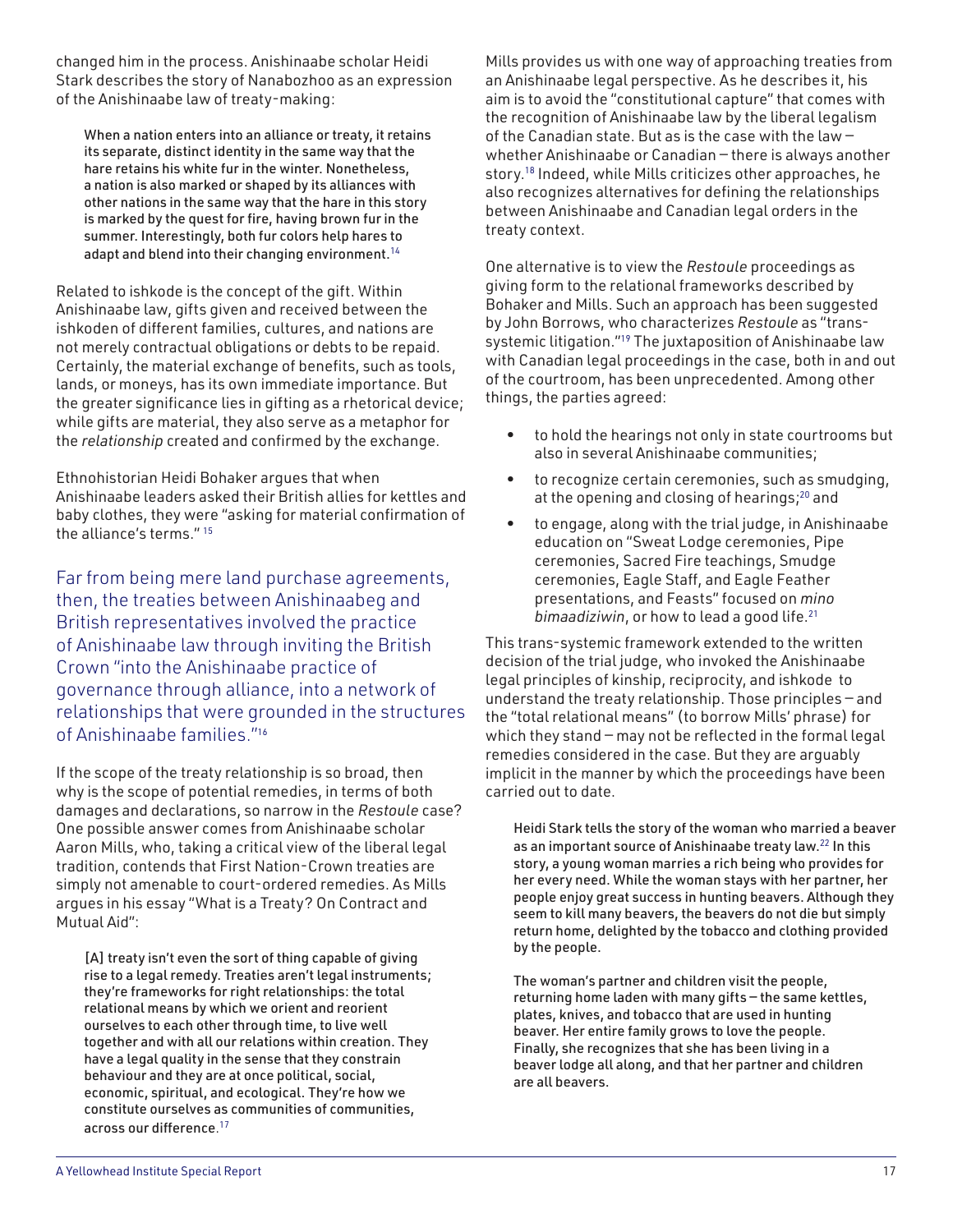changed him in the process. Anishinaabe scholar Heidi Stark describes the story of Nanabozhoo as an expression of the Anishinaabe law of treaty-making:

When a nation enters into an alliance or treaty, it retains its separate, distinct identity in the same way that the hare retains his white fur in the winter. Nonetheless, a nation is also marked or shaped by its alliances with other nations in the same way that the hare in this story is marked by the quest for fire, having brown fur in the summer. Interestingly, both fur colors help hares to adapt and blend into their changing environment.<sup>14</sup>

Related to ishkode is the concept of the gift. Within Anishinaabe law, gifts given and received between the ishkoden of different families, cultures, and nations are not merely contractual obligations or debts to be repaid. Certainly, the material exchange of benefits, such as tools, lands, or moneys, has its own immediate importance. But the greater significance lies in gifting as a rhetorical device; while gifts are material, they also serve as a metaphor for the *relationship* created and confirmed by the exchange.

Ethnohistorian Heidi Bohaker argues that when Anishinaabe leaders asked their British allies for kettles and baby clothes, they were "asking for material confirmation of the alliance's terms." <sup>15</sup>

Far from being mere land purchase agreements, then, the treaties between Anishinaabeg and British representatives involved the practice of Anishinaabe law through inviting the British Crown "into the Anishinaabe practice of governance through alliance, into a network of relationships that were grounded in the structures of Anishinaabe families."<sup>16</sup>

If the scope of the treaty relationship is so broad, then why is the scope of potential remedies, in terms of both damages and declarations, so narrow in the *Restoule* case? One possible answer comes from Anishinaabe scholar Aaron Mills, who, taking a critical view of the liberal legal tradition, contends that First Nation-Crown treaties are simply not amenable to court-ordered remedies. As Mills argues in his essay "What is a Treaty? On Contract and Mutual Aid":

[A] treaty isn't even the sort of thing capable of giving rise to a legal remedy. Treaties aren't legal instruments; they're frameworks for right relationships: the total relational means by which we orient and reorient ourselves to each other through time, to live well together and with all our relations within creation. They have a legal quality in the sense that they constrain behaviour and they are at once political, social, economic, spiritual, and ecological. They're how we constitute ourselves as communities of communities, across our difference. 17

Mills provides us with one way of approaching treaties from an Anishinaabe legal perspective. As he describes it, his aim is to avoid the "constitutional capture" that comes with the recognition of Anishinaabe law by the liberal legalism of the Canadian state. But as is the case with the law whether Anishinaabe or Canadian — there is always another story.<sup>18</sup> Indeed, while Mills criticizes other approaches, he also recognizes alternatives for defining the relationships between Anishinaabe and Canadian legal orders in the treaty context.

One alternative is to view the *Restoule* proceedings as giving form to the relational frameworks described by Bohaker and Mills. Such an approach has been suggested by John Borrows, who characterizes *Restoule* as "transsystemic litigation."<sup>19</sup> The juxtaposition of Anishinaabe law with Canadian legal proceedings in the case, both in and out of the courtroom, has been unprecedented. Among other things, the parties agreed:

- to hold the hearings not only in state courtrooms but also in several Anishinaabe communities;
- to recognize certain ceremonies, such as smudging, at the opening and closing of hearings;<sup>20</sup> and
- to engage, along with the trial judge, in Anishinaabe education on "Sweat Lodge ceremonies, Pipe ceremonies, Sacred Fire teachings, Smudge ceremonies, Eagle Staff, and Eagle Feather presentations, and Feasts" focused on *mino bimaadiziwin*, or how to lead a good life.<sup>21</sup>

This trans-systemic framework extended to the written decision of the trial judge, who invoked the Anishinaabe legal principles of kinship, reciprocity, and ishkode to understand the treaty relationship. Those principles — and the "total relational means" (to borrow Mills' phrase) for which they stand — may not be reflected in the formal legal remedies considered in the case. But they are arguably implicit in the manner by which the proceedings have been carried out to date.

Heidi Stark tells the story of the woman who married a beaver as an important source of Anishinaabe treaty law.<sup>22</sup> In this story, a young woman marries a rich being who provides for her every need. While the woman stays with her partner, her people enjoy great success in hunting beavers. Although they seem to kill many beavers, the beavers do not die but simply return home, delighted by the tobacco and clothing provided by the people.

The woman's partner and children visit the people, returning home laden with many gifts — the same kettles, plates, knives, and tobacco that are used in hunting beaver. Her entire family grows to love the people. Finally, she recognizes that she has been living in a beaver lodge all along, and that her partner and children are all beavers.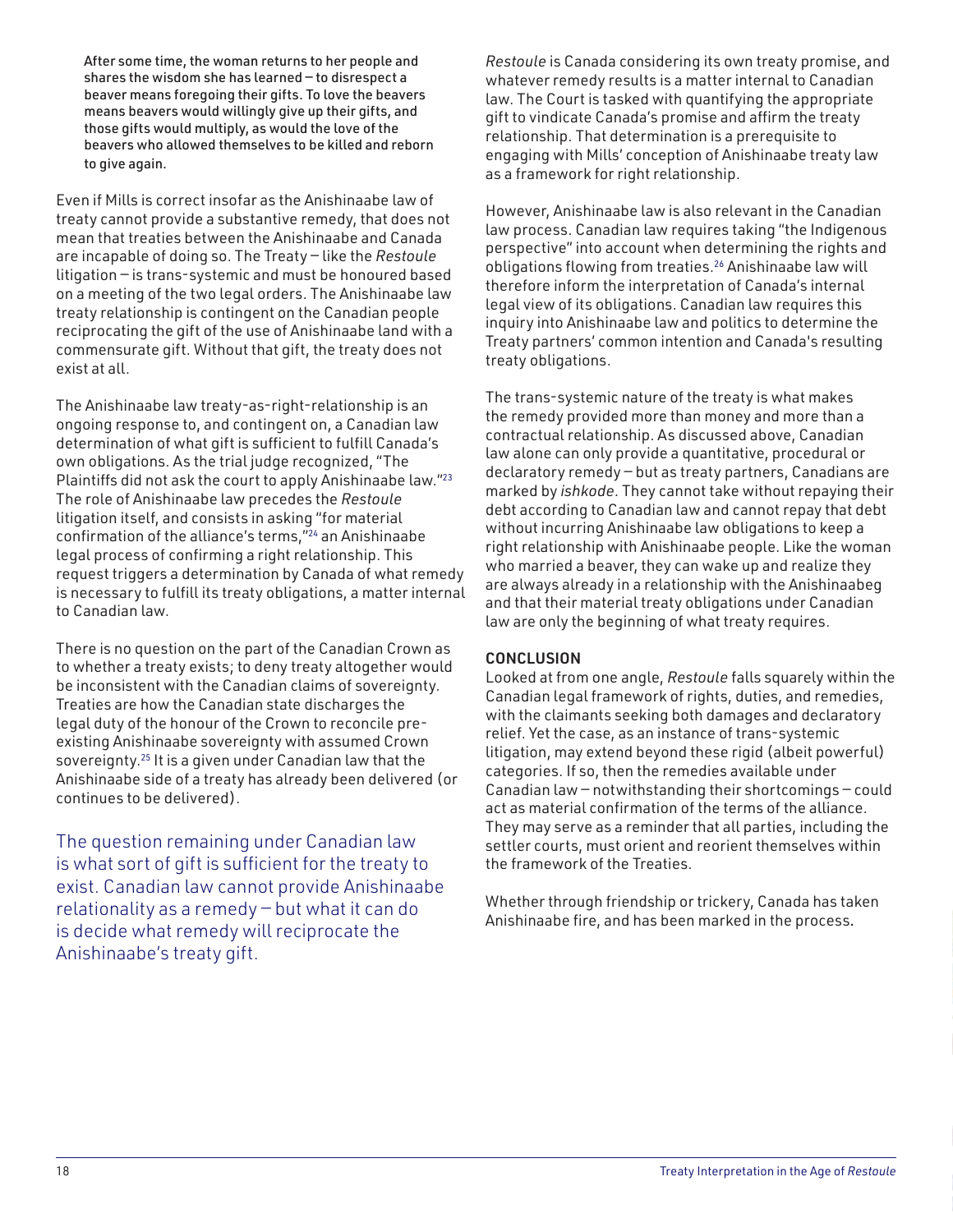After some time, the woman returns to her people and shares the wisdom she has learned — to disrespect a beaver means foregoing their gifts. To love the beavers means beavers would willingly give up their gifts, and those gifts would multiply, as would the love of the beavers who allowed themselves to be killed and reborn to give again.

Even if Mills is correct insofar as the Anishinaabe law of treaty cannot provide a substantive remedy, that does not mean that treaties between the Anishinaabe and Canada are incapable of doing so. The Treaty — like the *Restoule* litigation — is trans-systemic and must be honoured based on a meeting of the two legal orders. The Anishinaabe law treaty relationship is contingent on the Canadian people reciprocating the gift of the use of Anishinaabe land with a commensurate gift. Without that gift, the treaty does not exist at all.

The Anishinaabe law treaty-as-right-relationship is an ongoing response to, and contingent on, a Canadian law determination of what gift is sufficient to fulfill Canada's own obligations. As the trial judge recognized, "The Plaintiffs did not ask the court to apply Anishinaabe law."23 The role of Anishinaabe law precedes the *Restoule* litigation itself, and consists in asking "for material confirmation of the alliance's terms,"<sup>24</sup> an Anishinaabe legal process of confirming a right relationship. This request triggers a determination by Canada of what remedy is necessary to fulfill its treaty obligations, a matter internal to Canadian law.

There is no question on the part of the Canadian Crown as to whether a treaty exists; to deny treaty altogether would be inconsistent with the Canadian claims of sovereignty. Treaties are how the Canadian state discharges the legal duty of the honour of the Crown to reconcile preexisting Anishinaabe sovereignty with assumed Crown sovereignty.<sup>25</sup> It is a given under Canadian law that the Anishinaabe side of a treaty has already been delivered (or continues to be delivered).

The question remaining under Canadian law is what sort of gift is sufficient for the treaty to exist. Canadian law cannot provide Anishinaabe relationality as a remedy — but what it can do is decide what remedy will reciprocate the Anishinaabe's treaty gift.

*Restoule* is Canada considering its own treaty promise, and whatever remedy results is a matter internal to Canadian law. The Court is tasked with quantifying the appropriate gift to vindicate Canada's promise and affirm the treaty relationship. That determination is a prerequisite to engaging with Mills' conception of Anishinaabe treaty law as a framework for right relationship.

However, Anishinaabe law is also relevant in the Canadian law process. Canadian law requires taking "the Indigenous perspective" into account when determining the rights and obligations flowing from treaties.<sup>26</sup> Anishinaabe law will therefore inform the interpretation of Canada's internal legal view of its obligations. Canadian law requires this inquiry into Anishinaabe law and politics to determine the Treaty partners' common intention and Canada's resulting treaty obligations.

The trans-systemic nature of the treaty is what makes the remedy provided more than money and more than a contractual relationship. As discussed above, Canadian law alone can only provide a quantitative, procedural or declaratory remedy — but as treaty partners, Canadians are marked by *ishkode*. They cannot take without repaying their debt according to Canadian law and cannot repay that debt without incurring Anishinaabe law obligations to keep a right relationship with Anishinaabe people. Like the woman who married a beaver, they can wake up and realize they are always already in a relationship with the Anishinaabeg and that their material treaty obligations under Canadian law are only the beginning of what treaty requires.

#### CONCLUSION

Looked at from one angle, *Restoule* falls squarely within the Canadian legal framework of rights, duties, and remedies, with the claimants seeking both damages and declaratory relief. Yet the case, as an instance of trans-systemic litigation, may extend beyond these rigid (albeit powerful) categories. If so, then the remedies available under Canadian law — notwithstanding their shortcomings — could act as material confirmation of the terms of the alliance. They may serve as a reminder that all parties, including the settler courts, must orient and reorient themselves within the framework of the Treaties.

Whether through friendship or trickery, Canada has taken Anishinaabe fire, and has been marked in the process.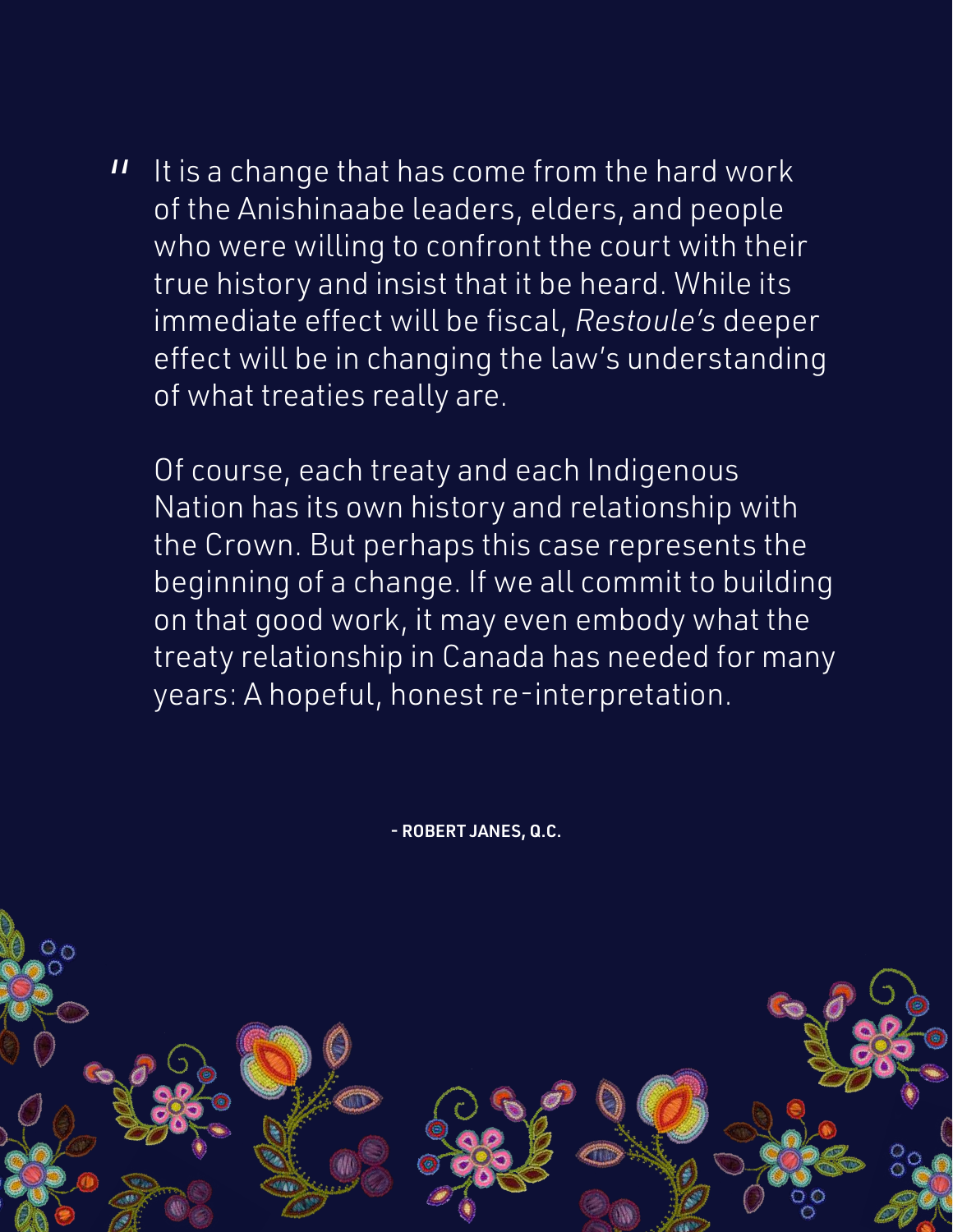It is a change that has come from the hard work of the Anishinaabe leaders, elders, and people who were willing to confront the court with their true history and insist that it be heard. While its immediate effect will be fiscal, *Restoule's* deeper effect will be in changing the law's understanding of what treaties really are.  $\boldsymbol{\Pi}$ 

Of course, each treaty and each Indigenous Nation has its own history and relationship with the Crown. But perhaps this case represents the beginning of a change. If we all commit to building on that good work, it may even embody what the treaty relationship in Canada has needed for many years: A hopeful, honest re-interpretation.

- ROBERT JANES, Q.C.

A A Yellowhead Institute Special Report 1998 September 1998 September 1998 September 1998 Special Report 1998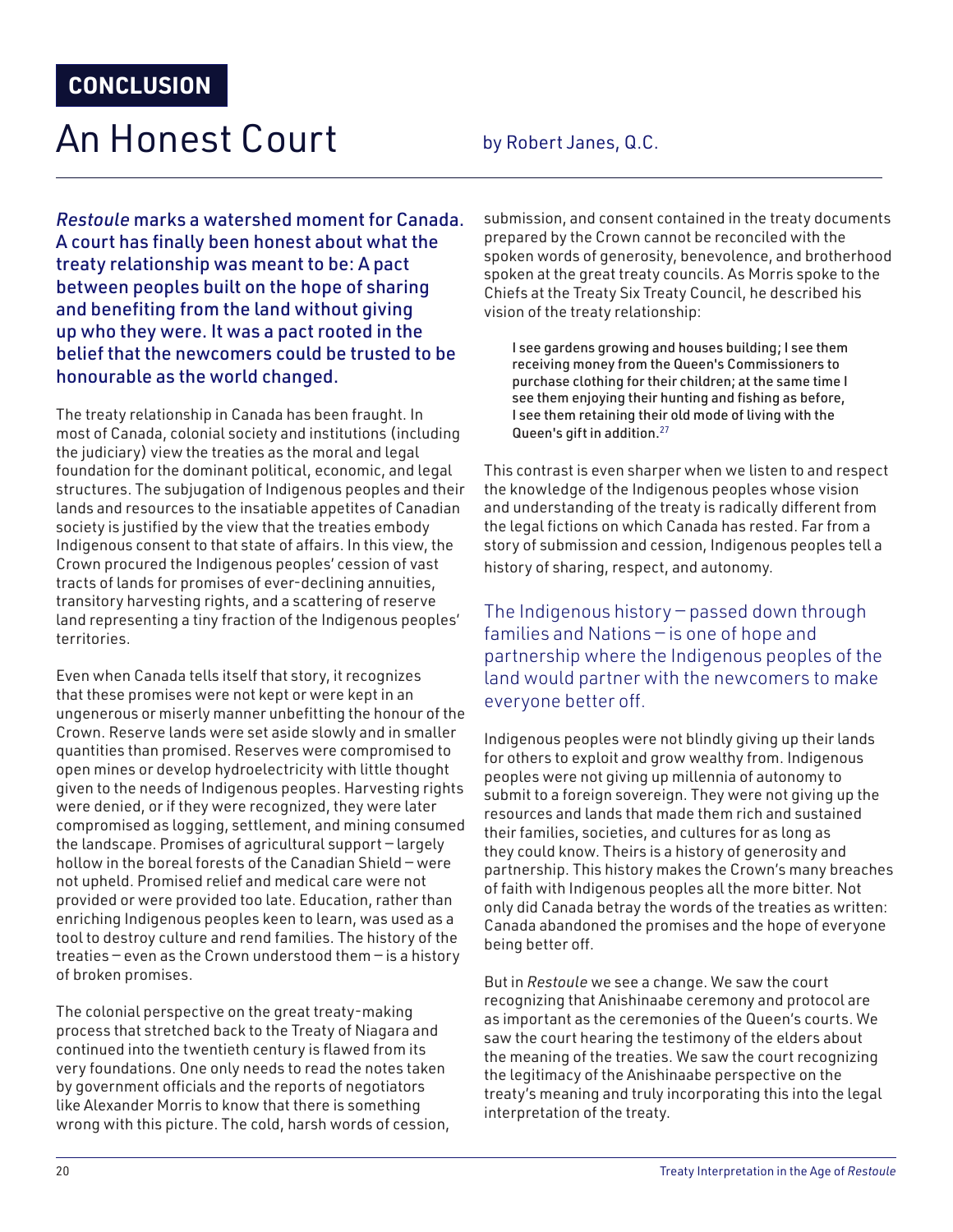## An Honest Court by Robert Janes, Q.C.

*Restoule* marks a watershed moment for Canada. A court has finally been honest about what the treaty relationship was meant to be: A pact between peoples built on the hope of sharing and benefiting from the land without giving up who they were. It was a pact rooted in the belief that the newcomers could be trusted to be honourable as the world changed.

The treaty relationship in Canada has been fraught. In most of Canada, colonial society and institutions (including the judiciary) view the treaties as the moral and legal foundation for the dominant political, economic, and legal structures. The subjugation of Indigenous peoples and their lands and resources to the insatiable appetites of Canadian society is justified by the view that the treaties embody Indigenous consent to that state of affairs. In this view, the Crown procured the Indigenous peoples' cession of vast tracts of lands for promises of ever-declining annuities, transitory harvesting rights, and a scattering of reserve land representing a tiny fraction of the Indigenous peoples' territories.

Even when Canada tells itself that story, it recognizes that these promises were not kept or were kept in an ungenerous or miserly manner unbefitting the honour of the Crown. Reserve lands were set aside slowly and in smaller quantities than promised. Reserves were compromised to open mines or develop hydroelectricity with little thought given to the needs of Indigenous peoples. Harvesting rights were denied, or if they were recognized, they were later compromised as logging, settlement, and mining consumed the landscape. Promises of agricultural support — largely hollow in the boreal forests of the Canadian Shield — were not upheld. Promised relief and medical care were not provided or were provided too late. Education, rather than enriching Indigenous peoples keen to learn, was used as a tool to destroy culture and rend families. The history of the treaties — even as the Crown understood them — is a history of broken promises.

The colonial perspective on the great treaty-making process that stretched back to the Treaty of Niagara and continued into the twentieth century is flawed from its very foundations. One only needs to read the notes taken by government officials and the reports of negotiators like Alexander Morris to know that there is something wrong with this picture. The cold, harsh words of cession, submission, and consent contained in the treaty documents prepared by the Crown cannot be reconciled with the spoken words of generosity, benevolence, and brotherhood spoken at the great treaty councils. As Morris spoke to the Chiefs at the Treaty Six Treaty Council, he described his vision of the treaty relationship:

I see gardens growing and houses building; I see them receiving money from the Queen's Commissioners to purchase clothing for their children; at the same time I see them enjoying their hunting and fishing as before, I see them retaining their old mode of living with the Queen's gift in addition.<sup>27</sup>

This contrast is even sharper when we listen to and respect the knowledge of the Indigenous peoples whose vision and understanding of the treaty is radically different from the legal fictions on which Canada has rested. Far from a story of submission and cession, Indigenous peoples tell a history of sharing, respect, and autonomy.

The Indigenous history — passed down through families and Nations — is one of hope and partnership where the Indigenous peoples of the land would partner with the newcomers to make everyone better off.

Indigenous peoples were not blindly giving up their lands for others to exploit and grow wealthy from. Indigenous peoples were not giving up millennia of autonomy to submit to a foreign sovereign. They were not giving up the resources and lands that made them rich and sustained their families, societies, and cultures for as long as they could know. Theirs is a history of generosity and partnership. This history makes the Crown's many breaches of faith with Indigenous peoples all the more bitter. Not only did Canada betray the words of the treaties as written: Canada abandoned the promises and the hope of everyone being better off.

But in *Restoule* we see a change. We saw the court recognizing that Anishinaabe ceremony and protocol are as important as the ceremonies of the Queen's courts. We saw the court hearing the testimony of the elders about the meaning of the treaties. We saw the court recognizing the legitimacy of the Anishinaabe perspective on the treaty's meaning and truly incorporating this into the legal interpretation of the treaty.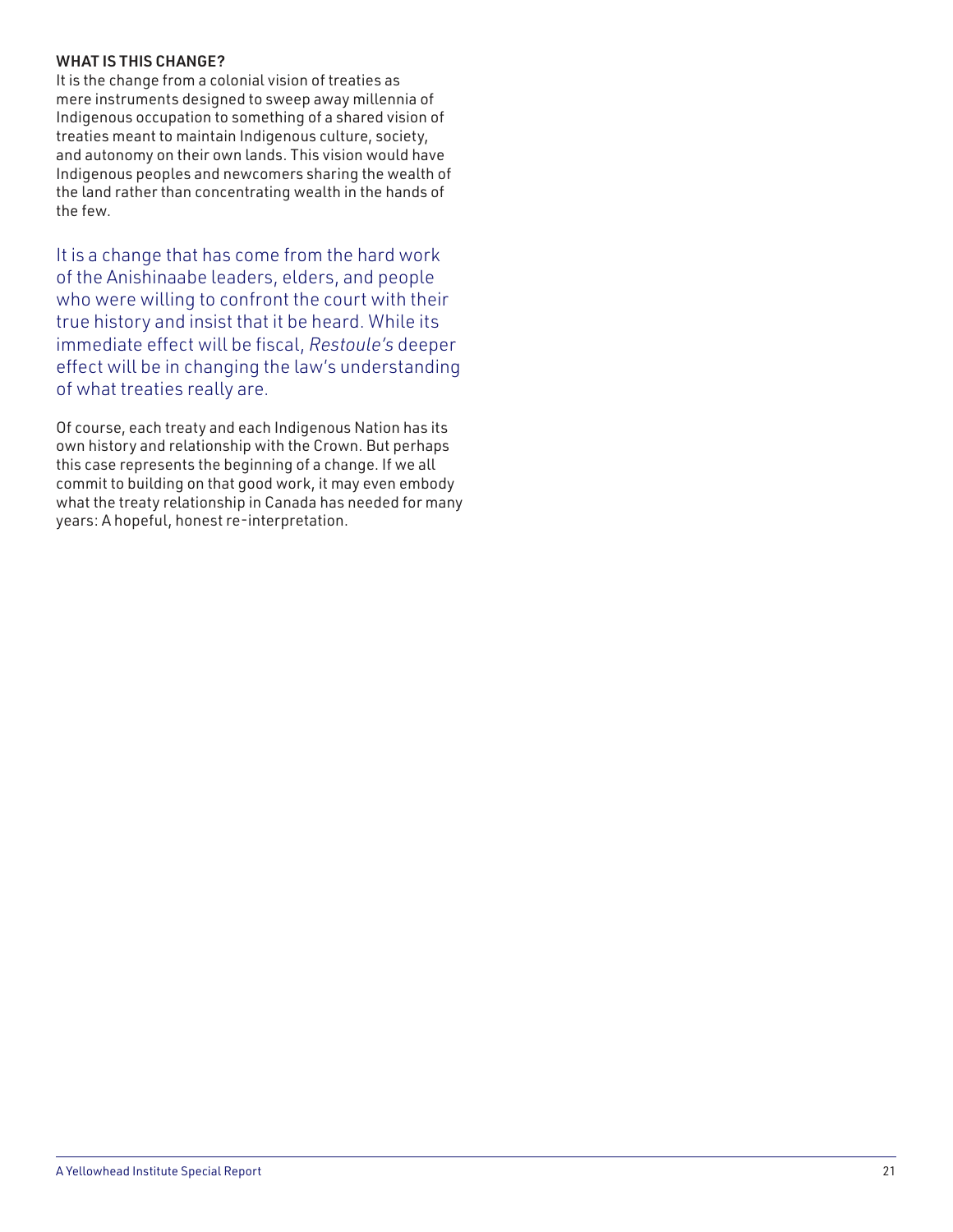#### WHAT IS THIS CHANGE?

It is the change from a colonial vision of treaties as mere instruments designed to sweep away millennia of Indigenous occupation to something of a shared vision of treaties meant to maintain Indigenous culture, society, and autonomy on their own lands. This vision would have Indigenous peoples and newcomers sharing the wealth of the land rather than concentrating wealth in the hands of the few.

It is a change that has come from the hard work of the Anishinaabe leaders, elders, and people who were willing to confront the court with their true history and insist that it be heard. While its immediate effect will be fiscal, *Restoule's* deeper effect will be in changing the law's understanding of what treaties really are.

Of course, each treaty and each Indigenous Nation has its own history and relationship with the Crown. But perhaps this case represents the beginning of a change. If we all commit to building on that good work, it may even embody what the treaty relationship in Canada has needed for many years: A hopeful, honest re-interpretation.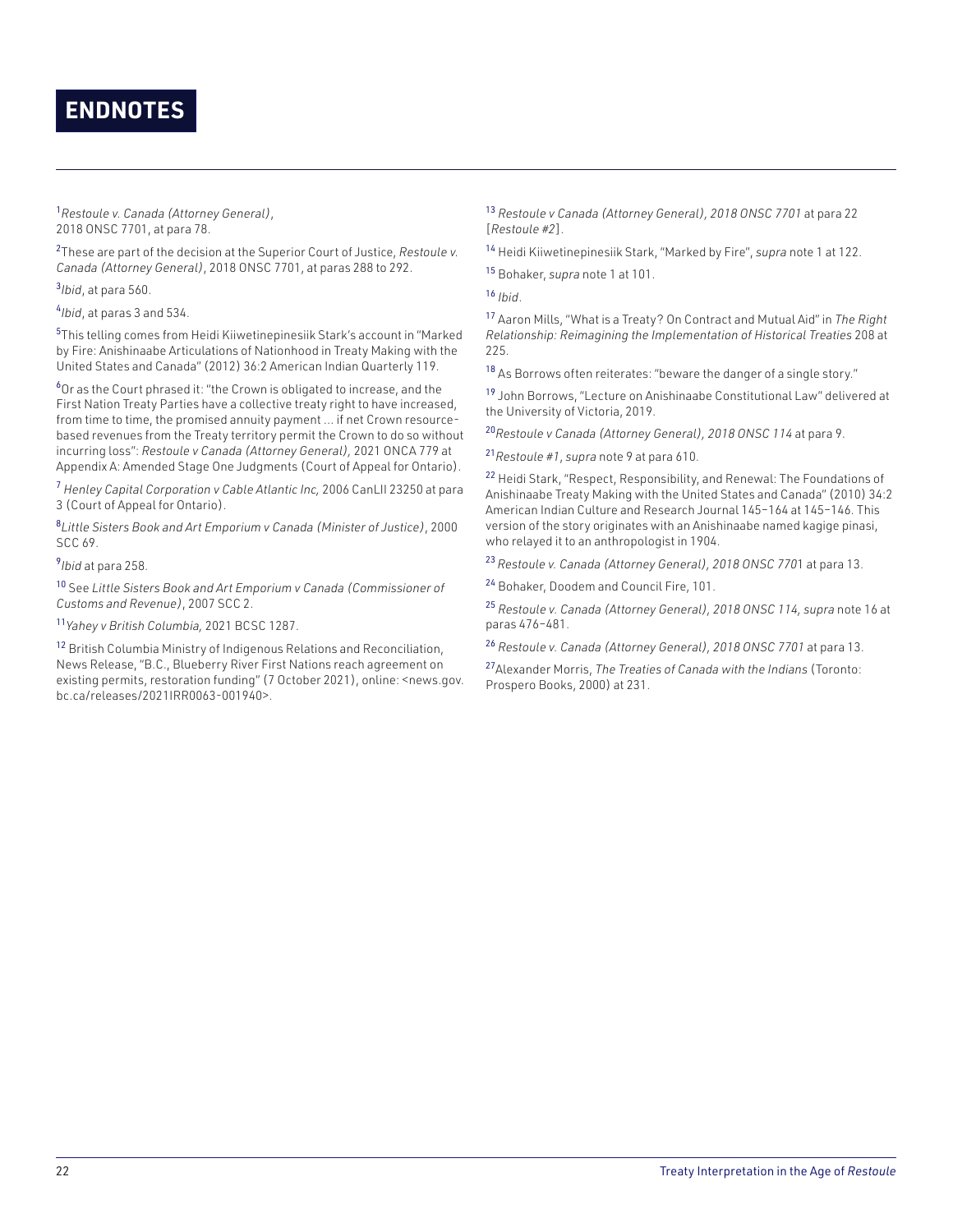### **ENDNOTES**

<sup>1</sup>*Restoule v. Canada (Attorney General)*, 2018 ONSC 7701, at para 78.

2 These are part of the decision at the Superior Court of Justice, *Restoule v. Canada (Attorney General)*, 2018 ONSC 7701, at paras 288 to 292.

3 *Ibid*, at para 560.

4 *Ibid*, at paras 3 and 534.

5 This telling comes from Heidi Kiiwetinepinesiik Stark's account in "Marked by Fire: Anishinaabe Articulations of Nationhood in Treaty Making with the United States and Canada" (2012) 36:2 American Indian Quarterly 119.

<sup>6</sup>Or as the Court phrased it: "the Crown is obligated to increase, and the First Nation Treaty Parties have a collective treaty right to have increased, from time to time, the promised annuity payment … if net Crown resourcebased revenues from the Treaty territory permit the Crown to do so without incurring loss": *Restoule v Canada (Attorney General),* 2021 ONCA 779 at Appendix A: Amended Stage One Judgments (Court of Appeal for Ontario).

<sup>7</sup> *Henley Capital Corporation v Cable Atlantic Inc,* 2006 CanLII 23250 at para 3 (Court of Appeal for Ontario).

8 *Little Sisters Book and Art Emporium v Canada (Minister of Justice)*, 2000 SCC 69.

9 *Ibid* at para 258.

<sup>10</sup> See *Little Sisters Book and Art Emporium v Canada (Commissioner of Customs and Revenue)*, 2007 SCC 2.

<sup>11</sup>*Yahey v British Columbia,* 2021 BCSC 1287.

<sup>12</sup> British Columbia Ministry of Indigenous Relations and Reconciliation, News Release, "B.C., Blueberry River First Nations reach agreement on existing permits, restoration funding" (7 October 2021), online: <news.gov. bc.ca/releases/2021IRR0063-001940>.

<sup>13</sup> *Restoule v Canada (Attorney General), 2018 ONSC 7701* at para 22 [*Restoule #2*].

<sup>14</sup> Heidi Kiiwetinepinesiik Stark, "Marked by Fire", *supra* note 1 at 122.

<sup>15</sup> Bohaker, *supra* note 1 at 101.

<sup>16</sup> *Ibid*.

<sup>17</sup> Aaron Mills, "What is a Treaty? On Contract and Mutual Aid" in *The Right Relationship: Reimagining the Implementation of Historical Treaties* 208 at 225.

18 As Borrows often reiterates: "beware the danger of a single story."

<sup>19</sup> John Borrows, "Lecture on Anishinaabe Constitutional Law" delivered at the University of Victoria, 2019.

<sup>20</sup>*Restoule v Canada (Attorney General), 2018 ONSC 114* at para 9.

<sup>21</sup>*Restoule #1*, *supra* note 9 at para 610.

<sup>22</sup> Heidi Stark, "Respect, Responsibility, and Renewal: The Foundations of Anishinaabe Treaty Making with the United States and Canada" (2010) 34:2 American Indian Culture and Research Journal 145–164 at 145–146. This version of the story originates with an Anishinaabe named kagige pinasi, who relayed it to an anthropologist in 1904.

<sup>23</sup>*Restoule v. Canada (Attorney General), 2018 ONSC 770*1 at para 13.

<sup>24</sup> Bohaker, Doodem and Council Fire, 101.

<sup>25</sup> *Restoule v. Canada (Attorney General), 2018 ONSC 114, supra* note 16 at paras 476–481.

<sup>26</sup> *Restoule v. Canada (Attorney General), 2018 ONSC 7701* at para 13.

<sup>27</sup>Alexander Morris, *The Treaties of Canada with the Indians* (Toronto: Prospero Books, 2000) at 231.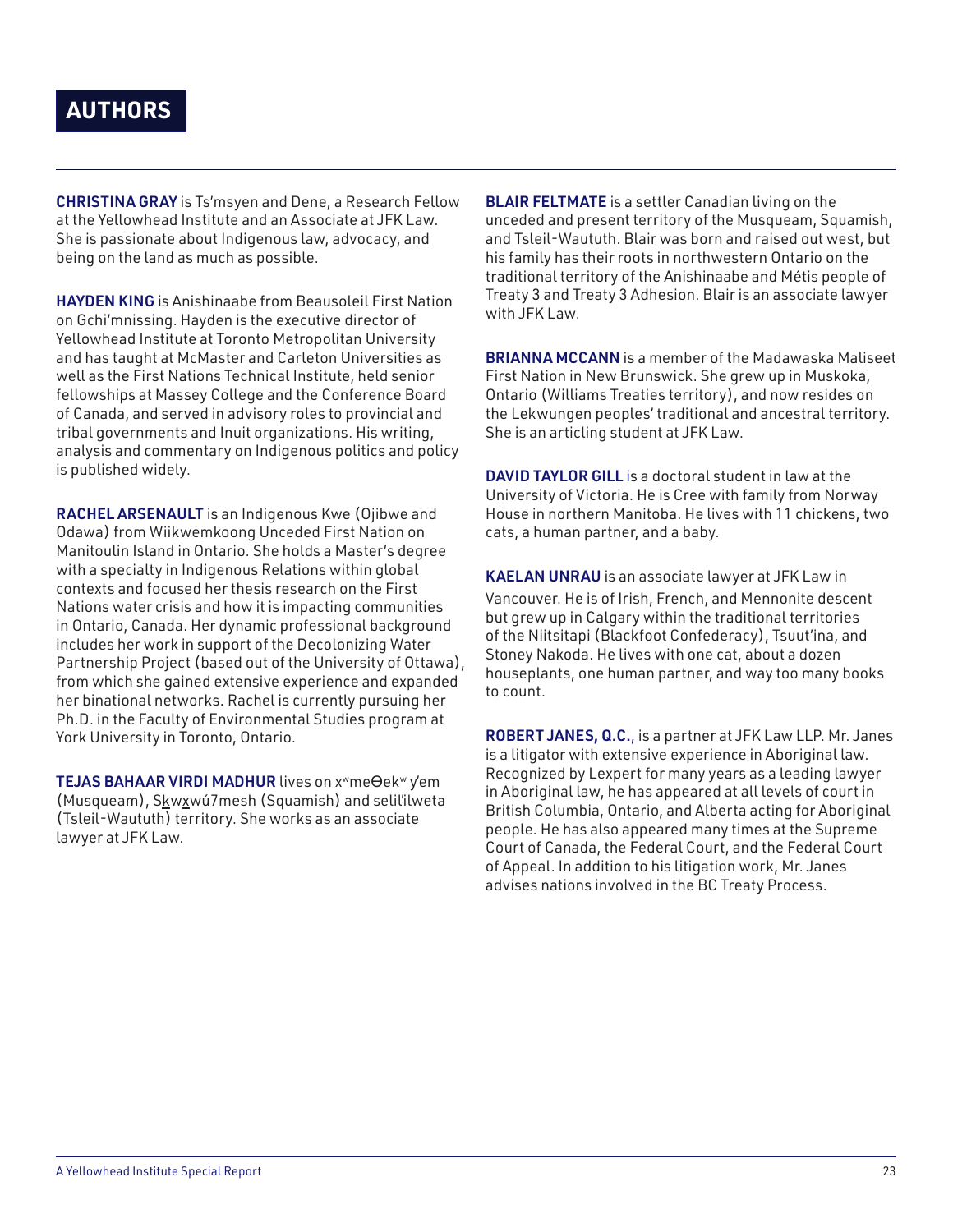### **AUTHORS**

CHRISTINA GRAY is Ts'msyen and Dene, a Research Fellow at the Yellowhead Institute and an Associate at JFK Law. She is passionate about Indigenous law, advocacy, and being on the land as much as possible.

HAYDEN KING is Anishinaabe from Beausoleil First Nation on Gchi'mnissing. Hayden is the executive director of Yellowhead Institute at Toronto Metropolitan University and has taught at McMaster and Carleton Universities as well as the First Nations Technical Institute, held senior fellowships at Massey College and the Conference Board of Canada, and served in advisory roles to provincial and tribal governments and Inuit organizations. His writing, analysis and commentary on Indigenous politics and policy is published widely.

RACHEL ARSENAULT is an Indigenous Kwe (Ojibwe and Odawa) from Wiikwemkoong Unceded First Nation on Manitoulin Island in Ontario. She holds a Master's degree with a specialty in Indigenous Relations within global contexts and focused her thesis research on the First Nations water crisis and how it is impacting communities in Ontario, Canada. Her dynamic professional background includes her work in support of the Decolonizing Water Partnership Project (based out of the University of Ottawa), from which she gained extensive experience and expanded her binational networks. Rachel is currently pursuing her Ph.D. in the Faculty of Environmental Studies program at York University in Toronto, Ontario.

TEJAS BAHAAR VIRDI MADHUR lives on x<sup>w</sup>meOek<sup>w</sup> y'em (Musqueam), Skwxwú7mesh (Squamish) and selil'ilweta (Tsleil-Waututh) territory. She works as an associate lawyer at JFK Law.

**BLAIR FELTMATE** is a settler Canadian living on the unceded and present territory of the Musqueam, Squamish, and Tsleil-Waututh. Blair was born and raised out west, but his family has their roots in northwestern Ontario on the traditional territory of the Anishinaabe and Métis people of Treaty 3 and Treaty 3 Adhesion. Blair is an associate lawyer with JFK Law.

BRIANNA MCCANN is a member of the Madawaska Maliseet First Nation in New Brunswick. She grew up in Muskoka, Ontario (Williams Treaties territory), and now resides on the Lekwungen peoples' traditional and ancestral territory. She is an articling student at JFK Law.

DAVID TAYLOR GILL is a doctoral student in law at the University of Victoria. He is Cree with family from Norway House in northern Manitoba. He lives with 11 chickens, two cats, a human partner, and a baby.

KAELAN UNRAU is an associate lawyer at JFK Law in Vancouver. He is of Irish, French, and Mennonite descent but grew up in Calgary within the traditional territories of the Niitsitapi (Blackfoot Confederacy), Tsuut'ina, and Stoney Nakoda. He lives with one cat, about a dozen houseplants, one human partner, and way too many books to count.

ROBERT JANES, Q.C., is a partner at JFK Law LLP. Mr. Janes is a litigator with extensive experience in Aboriginal law. Recognized by Lexpert for many years as a leading lawyer in Aboriginal law, he has appeared at all levels of court in British Columbia, Ontario, and Alberta acting for Aboriginal people. He has also appeared many times at the Supreme Court of Canada, the Federal Court, and the Federal Court of Appeal. In addition to his litigation work, Mr. Janes advises nations involved in the BC Treaty Process.